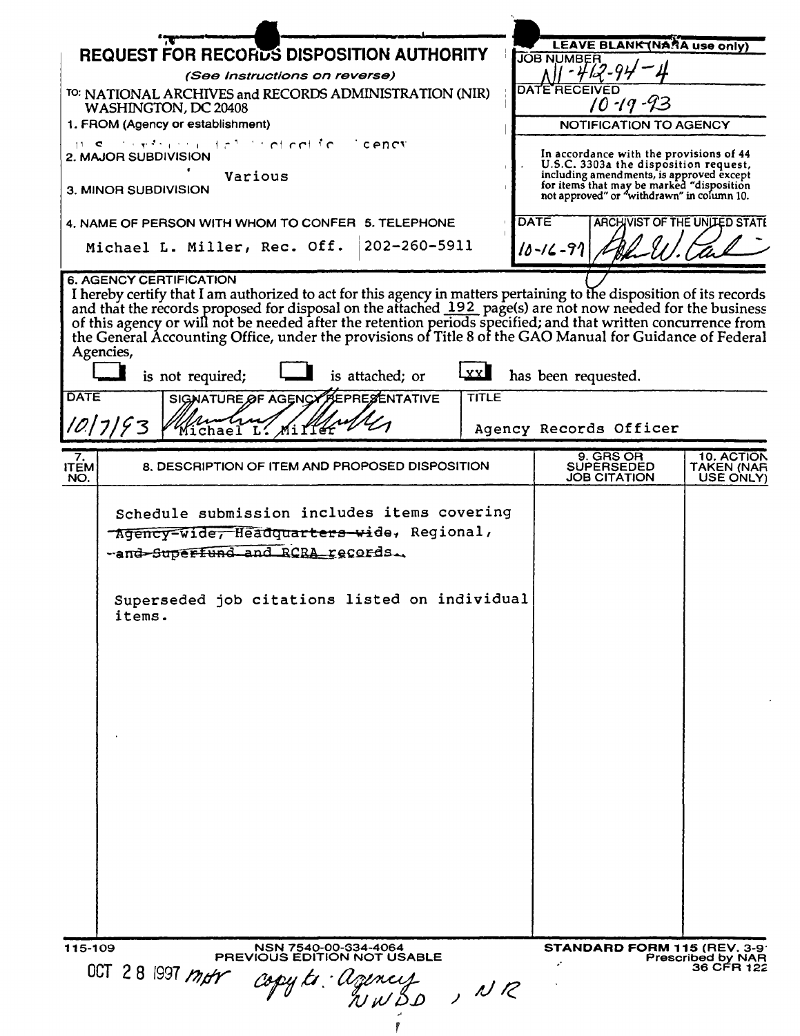| <b>REQUEST FOR RECORDS DISPOSITION AUTHORITY</b>                                                                                                                                                                                                                                                                                                                                                                                                                                                                                                                                                            | LEAVE BLANK (NARA use only)<br><b>JOB NUMBER</b>                                                                                    |
|-------------------------------------------------------------------------------------------------------------------------------------------------------------------------------------------------------------------------------------------------------------------------------------------------------------------------------------------------------------------------------------------------------------------------------------------------------------------------------------------------------------------------------------------------------------------------------------------------------------|-------------------------------------------------------------------------------------------------------------------------------------|
| (See Instructions on reverse)                                                                                                                                                                                                                                                                                                                                                                                                                                                                                                                                                                               |                                                                                                                                     |
| <sup>TO:</sup> NATIONAL ARCHIVES and RECORDS ADMINISTRATION (NIR)<br>WASHINGTON, DC 20408                                                                                                                                                                                                                                                                                                                                                                                                                                                                                                                   | <b>DATE RECEIVED</b><br>$10 - 19 - 93$                                                                                              |
| 1. FROM (Agency or establishment)                                                                                                                                                                                                                                                                                                                                                                                                                                                                                                                                                                           | NOTIFICATION TO AGENCY                                                                                                              |
| $\mathbf{u} \cdot \mathbf{c}$ , the set of the set of $\mathbf{c}$ and $\mathbf{c}$ and $\mathbf{c}$ and $\mathbf{c}$<br>'cency<br><b>2. MAJOR SUBDIVISION</b>                                                                                                                                                                                                                                                                                                                                                                                                                                              | In accordance with the provisions of 44<br>U.S.C. 3303a the disposition request,                                                    |
| Various<br>3. MINOR SUBDIVISION                                                                                                                                                                                                                                                                                                                                                                                                                                                                                                                                                                             | including amendments, is approved except<br>for items that may be marked "disposition<br>not approved" or "withdrawn" in column 10. |
| 4. NAME OF PERSON WITH WHOM TO CONFER 5. TELEPHONE                                                                                                                                                                                                                                                                                                                                                                                                                                                                                                                                                          | DATE<br>ARCHIVIST OF THE UNITED STATE                                                                                               |
| 202-260-5911<br>Michael L. Miller, Rec. Off.                                                                                                                                                                                                                                                                                                                                                                                                                                                                                                                                                                | $10 - 16 - 91$                                                                                                                      |
| I hereby certify that I am authorized to act for this agency in matters pertaining to the disposition of its records<br>and that the records proposed for disposal on the attached 192 page(s) are not now needed for the business<br>of this agency or will not be needed after the retention periods specified; and that written concurrence from<br>the General Accounting Office, under the provisions of Title 8 of the GAO Manual for Guidance of Federal<br>Agencies,<br>LxxI<br>is attached; or<br>is not required;<br><b>DATE</b><br><b>TITLE</b><br>SIGNATURE OF AGENCY PEPRESENTATIVE<br>10/7/93 | has been requested.                                                                                                                 |
| Miller<br>Wichael L.                                                                                                                                                                                                                                                                                                                                                                                                                                                                                                                                                                                        | Agency Records Officer                                                                                                              |
| 7.<br><b>ITEM</b><br>8. DESCRIPTION OF ITEM AND PROPOSED DISPOSITION<br>NO.                                                                                                                                                                                                                                                                                                                                                                                                                                                                                                                                 | 9. GRS OR<br>10. ACTION<br><b>SUPERSEDED</b><br>TAKEN (NAR<br><b>JOB CITATION</b><br>USE ONLY)                                      |
| Schedule submission includes items covering<br>-Agency-wide, Headquarters-wide, Regional,<br>-and-Superfund and RCRA records.<br>Superseded job citations listed on individual<br>items.                                                                                                                                                                                                                                                                                                                                                                                                                    |                                                                                                                                     |
| 115-109<br>NSN 7540-00-334-4064<br>PREVIOUS EDITION NOT USABLE                                                                                                                                                                                                                                                                                                                                                                                                                                                                                                                                              | <b>STANDARD FORM 115 (REV. 3-9)</b><br>Prescribed by NAR                                                                            |
| OCT 28 1997 mor<br>copy to : Uzencis<br>a w w B d<br>, NR                                                                                                                                                                                                                                                                                                                                                                                                                                                                                                                                                   | 36 CFR 122                                                                                                                          |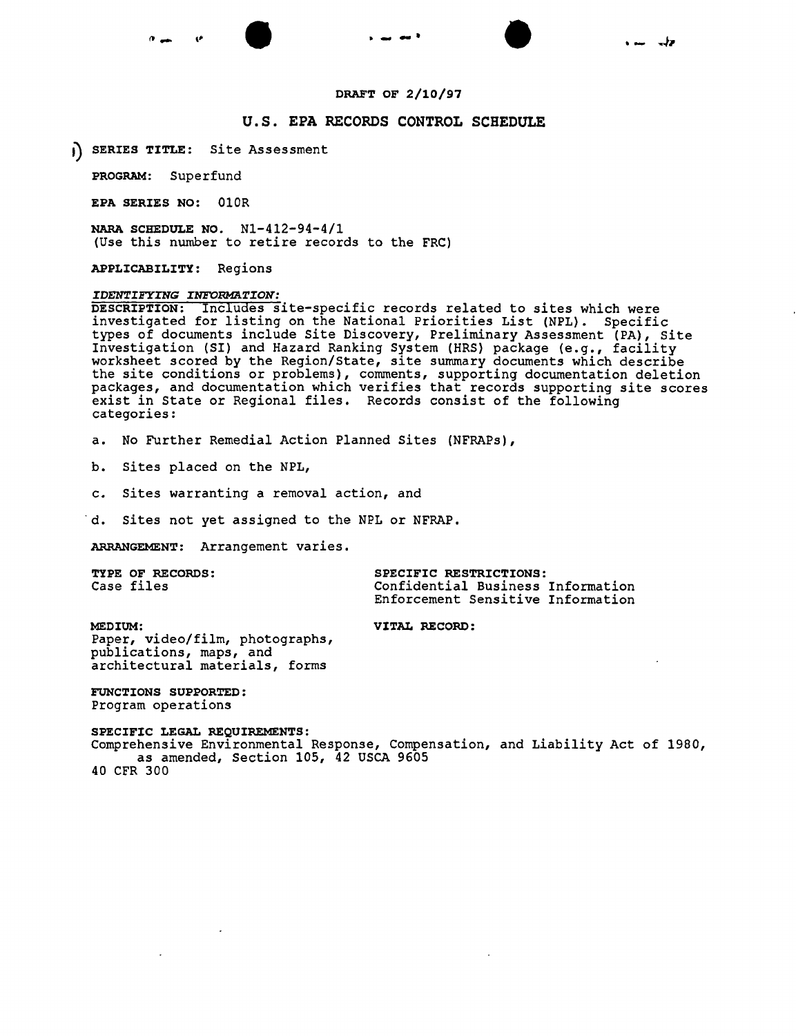



### DRAFT OF 2/10/97

# u.s. EPA RECORDS CONTROL SCHEDULE

() SERIES TITLE: Site Assessment

PROGRAM: Superfund

EPA SERIES NO: OlOR

NARA SCHEDULE NO. Nl-4l2-94-4/1 (Use this number to retire records to the FRC)

APPLICABILITY: Regions

# *IDENTIFYING INFORMATION:*

DESCRIPTION: Includes site-specific records related to sites which were investigated for listing on the National Priorities List (NPL). Specific types of documents include Site Discovery, Preliminary Assessment (PA), Site Investigation (SI) and Hazard Ranking System (HRS) package (e.g., facility worksheet scored by the Region/State, site summary documents which describe the site conditions or problems), comments, supporting documentation deletion packages, and documentation which verifies that records supporting site scores exist in State or Regional files. Records consist of the following categories:

a. No Further Remedial Action Planned Sites (NFRAPs),

b. Sites placed on the NPL,

c. Sites warranting a removal action, and

d. Sites not yet assigned to the NPL or NFRAP.

ARRANGEMENT: Arrangement varies.

| <b>TYPE OF RECORDS:</b> | SPECIFIC RESTRICTIONS:            |  |
|-------------------------|-----------------------------------|--|
| Case files              | Confidential Business Information |  |
|                         | Enforcement Sensitive Information |  |

MEDIUM: VITAL RECORD: Paper, video/film, photographs, publications, maps, and architectural materials, forms

FUNCTIONS SUPPORTED: Program operations

SPECIFIC LEGAL REQUIREMENTS: Comprehensive Environmental Response, Compensation, and Liability Act of 1980, as amended, Section 105, 42 USCA 9605 40 CFR 300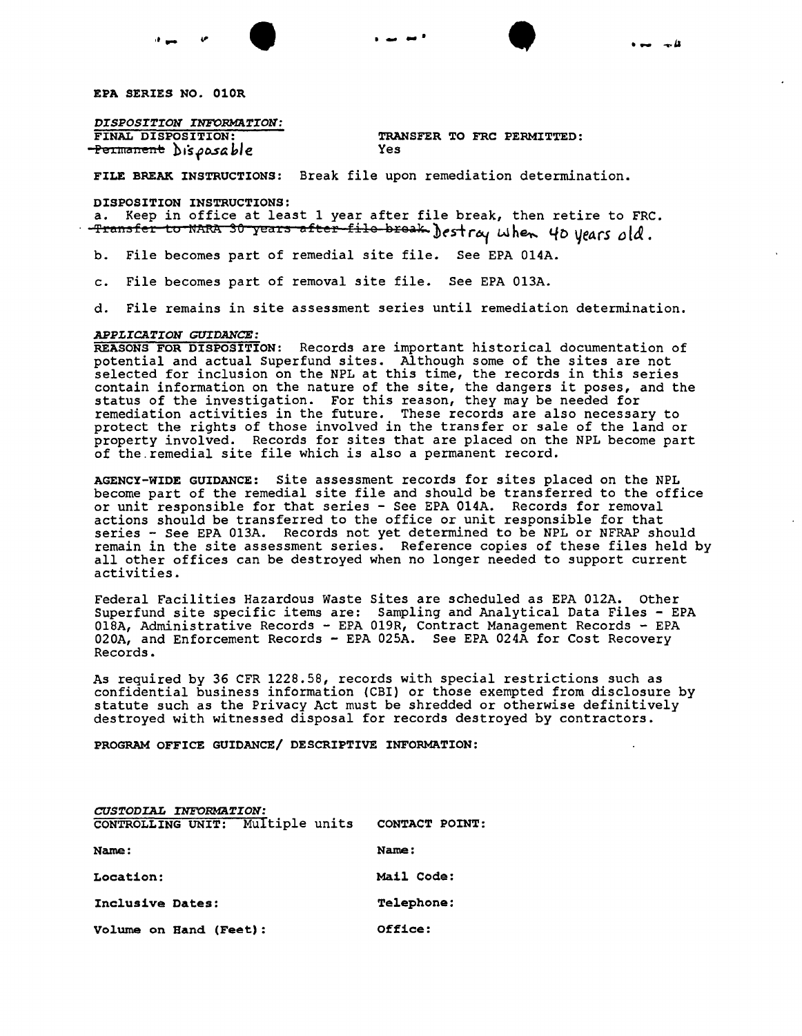

*DISPOSITION INFORMATION:*<br>FINAL DISPOSITION: Pe<del>rmanent</del> Dis*posab*le

TRANSFER TO FRC PERMITTED:<br>Yes

FILE BREAK INSTRUCTIONS: Break file upon remediation determination.

DISPOSITION INSTRUCTIONS:

a. Keep in office at least I year after file break, then retire to FRC. fransfer to NARA 30 years after file break Jestray when 40 years old.

b. File becomes part of remedial site file. See EPA OI4A.

c. File becomes part of removal site file. See EPA OI3A.

d. File remains in site assessment series until remediation determination.

### *APPLICATION* GUIDANCE:

REASONS FOR DISPOSITION: Records are important historical documentation of potential and actual Superfund sites. Although some of the sites are not selected for inclusion on the NPL at this time, the records in this series contain information on the nature of the site, the dangers it poses, and the status of the investigation. For this reason, they may be needed for remediation activities in the future. These records are also necessary to protect the rights of those involved in the transfer or sale of the land or property involved. Records for sites that are placed on the NPL become part of the remedial site file which is also a permanent record.

AGENCY-WIDE GUIDANCE: Site assessment records for sites placed on the NPL become part of the remedial site file and should be transferred to the office or unit responsible for that series - See EPA OI4A. Records for removal actions should be transferred to the office or unit responsible for that series - See EPA 013A. Records not yet determined to be NPL or NFRAP should remain in the site assessment series. Reference copies of these files held by all other offices can be destroyed when no longer needed to support current activities.

Federal Facilities Hazardous Waste Sites are scheduled as EPA 012A. Other Superfund site specific items are: Sampling and Analytical Data Files - EPA OISA, Administrative Records - EPA 019R, Contract Management Records - EPA 020A, and Enforcement Records - EPA 025A. See EPA 024A for Cost Recovery Records.

As required by 36 CFR 1228.58, records with special restrictions such as confidential business information (CBr) or those exempted from disclosure by statute such as the Privacy Act must be shredded or otherwise definitively destroyed with witnessed disposal for records destroyed by contractors.

PROGRAM OFFICE GUIDANCE/ DESCRIPTIVE INFORMATION:

| CUSTODIAL INFORMATION:           |                   |
|----------------------------------|-------------------|
| CONTROLLING UNIT: Multiple units | CONTACT POINT:    |
| Name:                            | Name:             |
| Location:                        | Mail Code:        |
| Inclusive Dates:                 | <b>Telephone:</b> |
| Volume on Hand (Feet):           | Office:           |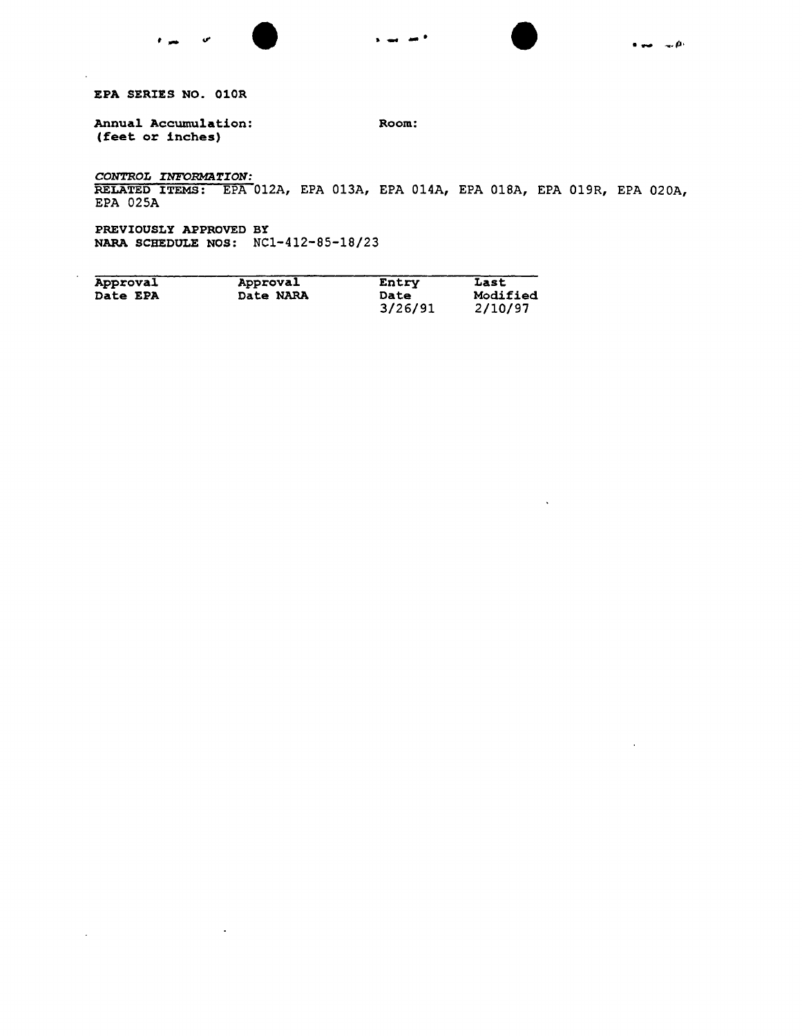

 $\ddot{\phantom{a}}$ 

 $\sim$ 

EPA SERIES NO. 010R

÷.

 $\sim$ 

Annual Accumulation: (feet or inches) Room:

*CONTROL INFORMA~ION:* RELATED ITEMS: EPA 012A, EPA 013A, EPA 014A, EPA 018A, EPA 019R, EPA 020A, EPA 025A

PREVIOUSLY APPROVED BY NARA SCHEDULE NOS: NC1-412-85-18/23

 $\ddot{\phantom{a}}$ 

 $\mathcal{L}_{\text{max}}$  and  $\mathcal{L}_{\text{max}}$ 

| Approval        | Approval  | Entry       | Last     |
|-----------------|-----------|-------------|----------|
| <b>Date EPA</b> | Date NARA | <b>Date</b> | Modified |
|                 |           | 3/26/91     | 2/10/97  |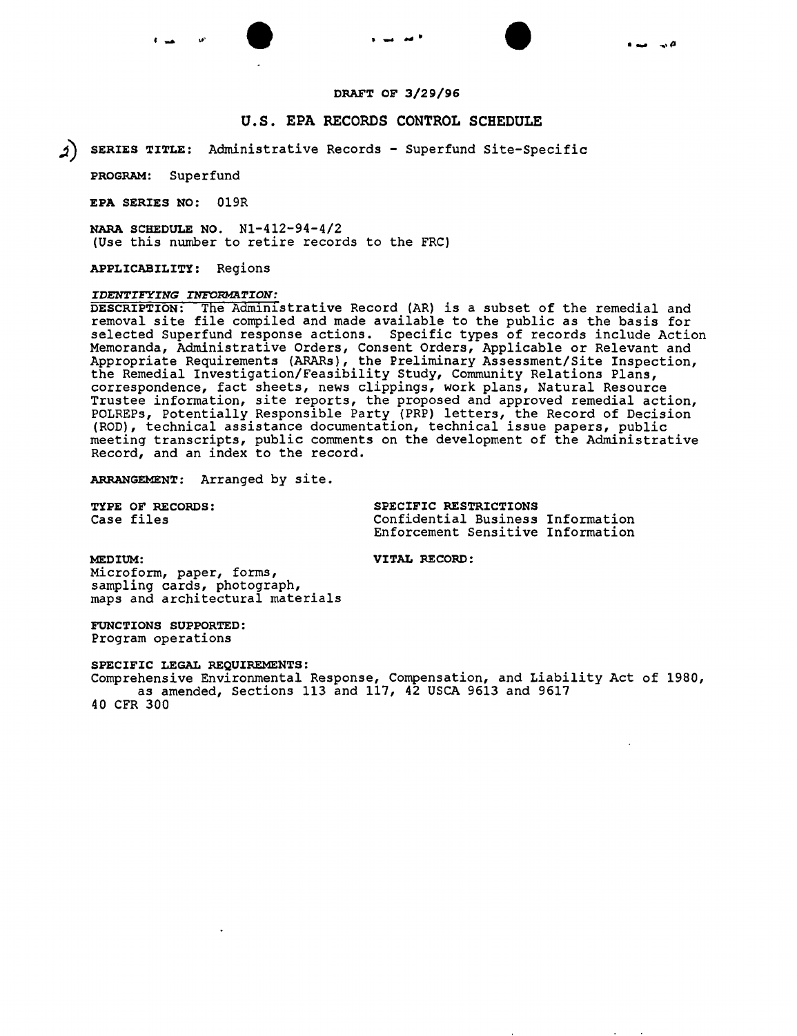



### DRAFT OF 3/29/96

### u.s. EPA RECORDS CONTROL SCHEDULE

~) SERIES TITLE: Administrative Records - Superfund Site-Specific

PROGRAM: Superfund

EPA SERIES NO: 019R

NARA SCHEDULE NO. NI-412-94-4/2 (Use this number to retire records to the FRC)

APPLICABILITY: Regions

# *IDENTIFYING INFORMATION:*

DESCRIPTION: The Administrative Record (AR) is a subset of the remedial and removal site file compiled and made available to the public as the basis for selected Superfund response actions. Specific types of records include Action Memoranda, Administrative Orders, Consent Orders, Applicable or Relevant and Appropriate Requirements (ARARs), the Preliminary Assessment/Site Inspection, the Remedial Investigation/Feasibility Study, Community Relations Plans, correspondence, fact sheets, news clippings, work plans, Natural Resource Trustee information, site reports, the proposed and approved remedial action, POLREPs, Potentially Responsible Party (PRP) letters, the Record of Decision (ROD), technical assistance documentation, technical issue papers, public meeting transcripts, public comments on the development of the Administrative Record, and an index to the record.

ARRANGEMENT: Arranged by site.

TYPE OF RECORDS: SPECIFIC RESTRICTIONS Case files Confidential Business Information Enforcement Sensitive Information

MEDIUM: VITAL RECORD:

Microform, paper, forms, sampling cards, photograph, maps and architectural materials

FUNCTIONS SUPPORTED: Program operations

SPECIFIC LEGAL REQUIREMENTS: Comprehensive Environmental Response, Compensation, and Liability Act of 1980, as amended, Sections 113 and 117, 42 USCA 9613 and 9617 40 CFR 300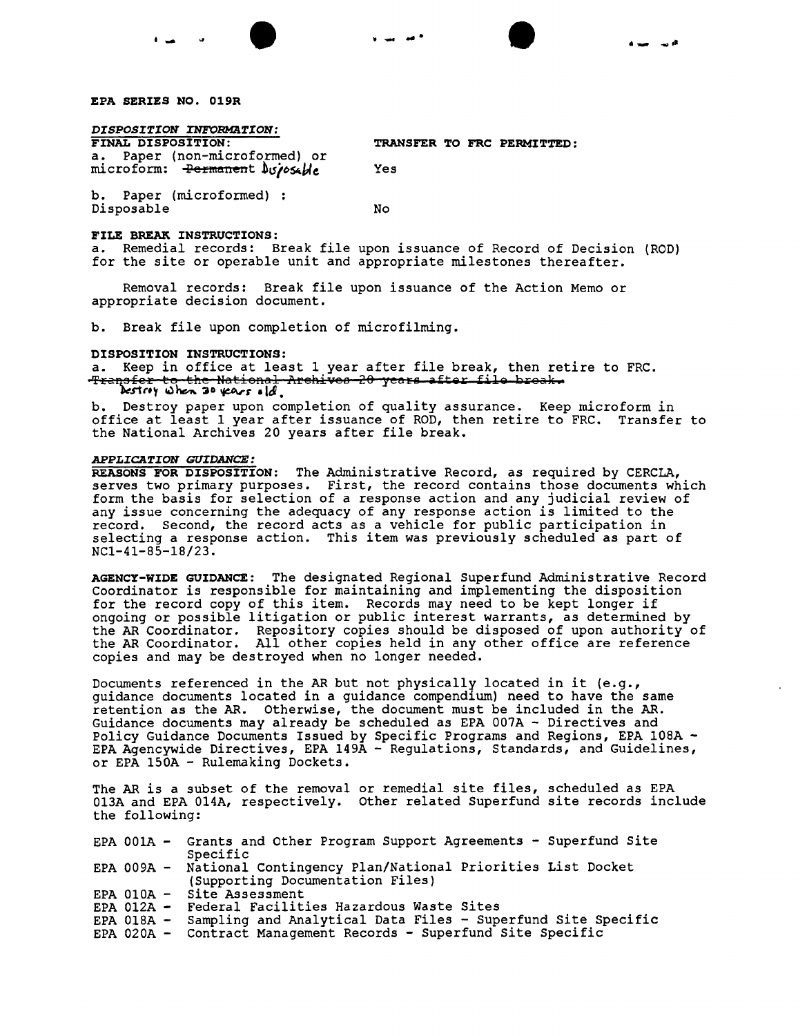### EPA SERIES NO. 019R

*DISPOSITION INFORMaTION:*

a. Paper (non-microformed) or microform: <del>Permanen</del>t b*siosable* Yes

TRANSFER TO FRC PERMITTED:

...... ..., ..

b. Paper (microformed) : Disposable No

### FILE BREAK INSTRUCTIONS:

a. Remedial records: Break file upon issuance of Record of Decision (ROD) for the site or operable unit and appropriate milestones thereafter.

Removal records: Break file upon issuance of the Action Memo or appropriate decision document.

• • 1\_ " .......

b. Break file upon completion of microfilming.

### DISPOSITION INSTRUCTIONS:

a. Keep in office at least 1 year after file break, then retire to FRC. f<del>ransfer to the National Archives 20 years after file broak.</del><br>Destry when 30 years s[d]

b. Destroy paper upon completion of quality assurance. Keep microform in office at least I year after issuance of ROD, then retire to FRC. Transfer to the National Archives 20 years after file break.

### *APPLICATION GUIDANCE:*

REASONS FOR DISPOSITION: The Administrative Record, as required by CERCLA, serves two primary purposes. First, the record contains those documents which form the basis for selection of a response action and any judicial review of any issue concerning the adequacy of any response action is limited to the record. Second, the record acts as a vehicle for public participation in selecting a response action. This item was previously scheduled as part of NCl-41-S5-IS/23.

AGENCY-WIDE GUIDANCE: The designated Regional Superfund Administrative Record Coordinator is responsible for maintaining and implementing the disposition for the record copy of this item. Records may need to be kept longer if ongoing or possible litigation or public interest warrants, as determined by the AR Coordinator. Repository copies should be disposed of upon authority of the AR Coordinator. All other copies held in any other office are reference copies and may be destroyed when no longer needed.

Documents referenced in the AR but not physically located in it  $(e.g.,)$ guidance documents located in a guidance compendium) need to have the same retention as the AR. Otherwise, the document must be included in the AR. Guidance documents may already be scheduled as EPA 007A - Directives and Policy Guidance Documents Issued by Specific Programs and Regions, EPA IOSA - EPA Agencywide Directives, EPA I49A - Regulations, Standards, and Guidelines, or EPA 150A - Rulemaking Dockets.

The AR is a subset of the removal or remedial site files, scheduled as EPA 013A and EPA 014A, respectively. Other related Superfund site records include the following:

|  | EPA 001A - Grants and Other Program Support Agreements - Superfund Site |
|--|-------------------------------------------------------------------------|
|  | Specific                                                                |
|  | EPA 009A - National Contingency Plan/National Priorities List Docket    |
|  | (Supporting Documentation Files)                                        |
|  | EPA $010A -$ Site Assessment                                            |
|  | EPA 012A - Federal Facilities Hazardous Waste Sites                     |
|  | EPA 018A - Sampling and Analytical Data Files - Superfund Site Specific |
|  | EPA 020A - Contract Management Records - Superfund Site Specific        |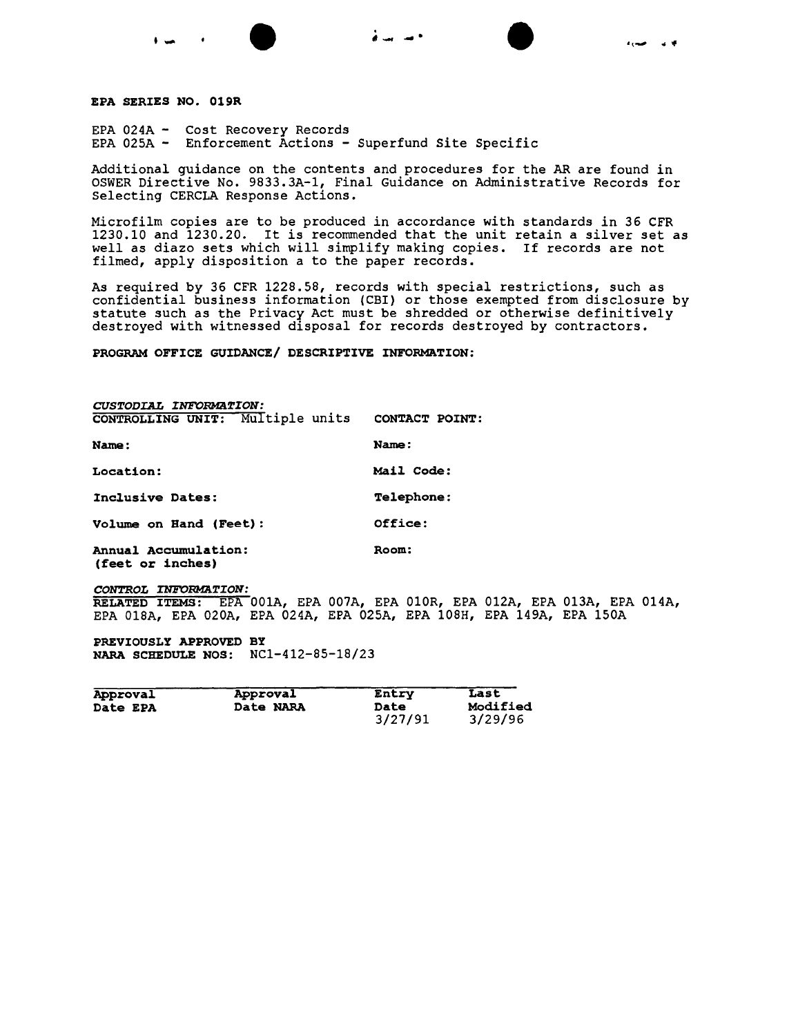

EPA SERIES NO. 019R

EPA 024A - Cost Recovery Records EPA 025A - Enforcement Actions - Superfund Site Specific

Additional guidance on the contents and procedures for the AR are found in OSWER Directive No. 9833.3A-1, Final Guidance on Administrative Records for Selecting CERCLA Response Actions.

,<br>,

Microfilm copies are to be produced in accordance with standards in 36 CFR 1230.10 and 1230.20. It is recommended that the unit retain a silver set as well as diazo sets which will simplify making copies. If records are not filmed, apply disposition a to the paper records.

As required by 36 CFR 1228.58, records with special restrictions, such as confidential business information (CBI) or those exempted from disclosure by statute such as the Privacy Act must be shredded or otherwise definitively destroyed with witnessed disposal for records destroyed by contractors.

PROGRAM OFFICE GUIDANCE/ DESCRIPTIVE INFORMATION:

| CUSTODIAL INFORMATION:                         |                   |
|------------------------------------------------|-------------------|
| CONTROLLING UNIT: Multiple units CONTACT POINT |                   |
| Name:                                          | Name:             |
| Location:                                      | Mail Code:        |
| Inclusive Dates:                               | <b>Telephone:</b> |
| Volume on Hand (Feet):                         | Office:           |
| Annual Accumulation:<br>(feet or inches)       | Room:             |

*CONTROL INFORMATION:* RELATED ITEMS: EPA 001A, EPA 007A, EPA 010R, EPA 012A, EPA 013A, EPA 014A, EPA 018A, EPA 020A, EPA 024A, EPA 025A, EPA 108H, EPA 149A, EPA 150A

PREVIOUSLY APPROVED BY NARA SCHEDULE NOS: NCl-412-85-18/23

| Approval        | Approval  | Entry           | Last                |
|-----------------|-----------|-----------------|---------------------|
| <b>Date EPA</b> | Date NARA | Date<br>3/27/91 | Modified<br>3/29/96 |
|                 |           |                 |                     |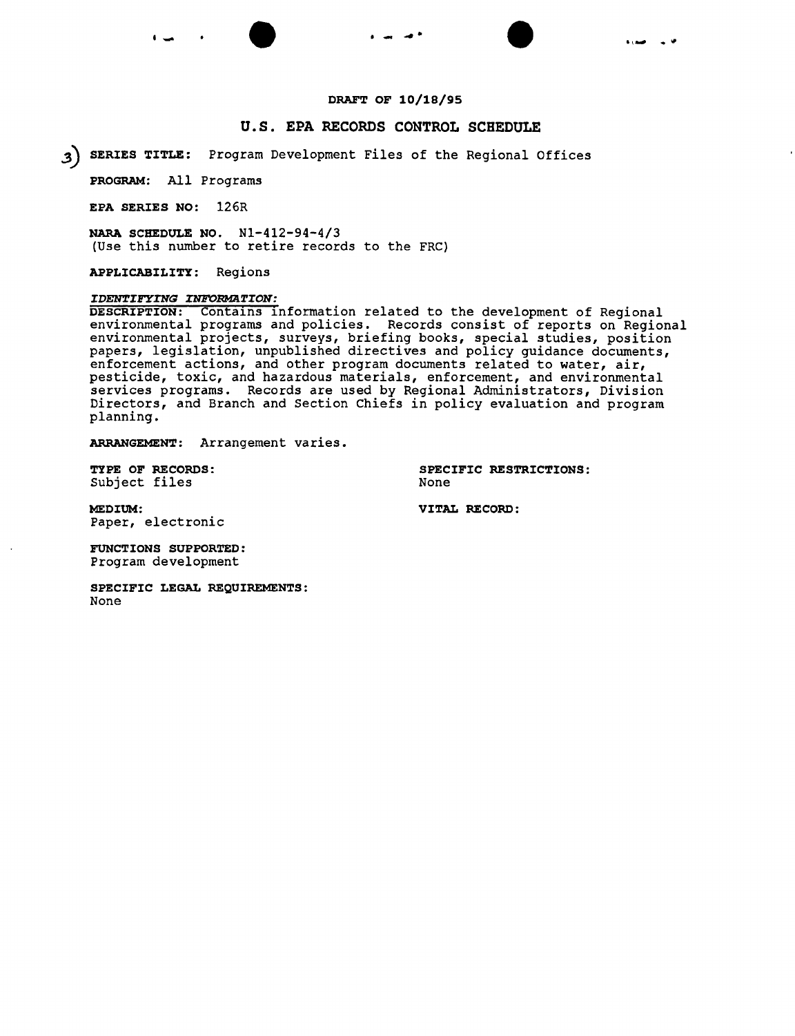# **DRAFT OF 10/18/95**

# **U.S. EPA RECORDS CONTROL SCHEDULE**

**3) SERIES TITLE:** Program Development Files of the Regional Offices

**PROGRAM:** All Programs

**EPA SERIES NO:** 126R

**NARA SCHEDULE NO.** Nl-412-94-4/3 (Use this number to retire records to the FRC)

**APPLICABILITY:** Regions

# *IDENTI1!TING INFORMATION:*

 $\overline{\texttt{DESCRIPTION:}}$  contains information related to the development of Regional environmental programs and policies. Records consist of reports on Regional environmental projects, surveys, briefing books, special studies, position papers, legislation, unpublished directives and policy guidance documents, enforcement actions, and other program documents related to water, air, pesticide, toxic, and hazardous materials, enforcement, and environmental services programs. Records are used by Regional Administrators, Division Directors, and Branch and Section Chiefs in policy evaluation and program planning.

**ARRANGEMENT:** Arrangement varies.

Subject files

**TYPE OF RECORDS: SPECIFIC RESTRICTIONS:**

**MEDIUM: VITAL RECORD:** Paper, electronic

**FUNCTIONS SUPPORTED:** Program development

**SPECIFIC LEGAL REQUIREMENTS:** None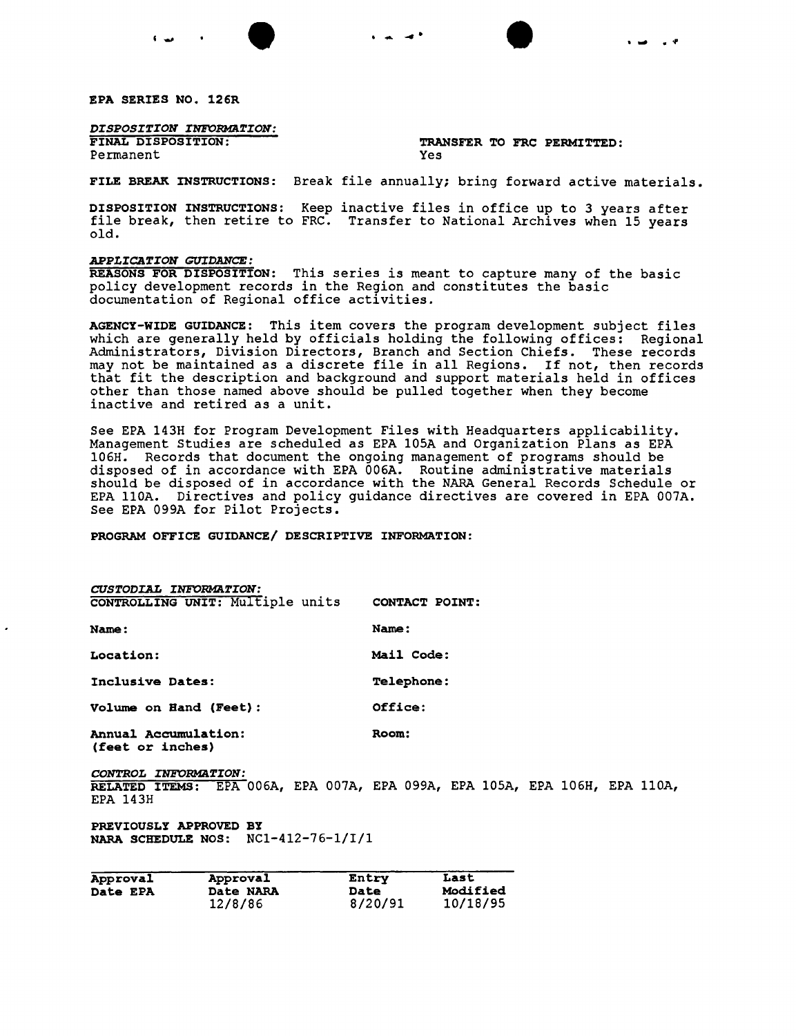

*DISPOSITION INFORMaTION:*

Permanent

# TRANSFER TO FRC PERMITTED:<br>Yes

FILE BREAK INSTRUCTIONS: Break file annually; bring forward active materials.

 $\bullet$   $\bullet$   $\bullet$ 

DISPOSITION INSTRUCTIONS: Keep inactive files in office up to 3 years after file break, then retire to FRC. Transfer to National Archives when 15 years old.

### *APPLICATION GUIDANCE:*

REASONS FOR DISPOSITION: This series is meant to capture many of the basic policy development records in the Region and constitutes the basic documentation of Regional office activities.

AGENCY-WIDE GUIDANCE: This item covers the program development subject files which are generally held by officials holding the following offices: Regional Administrators, Division Directors, Branch and Section Chiefs. These records may not be maintained as a discrete file in all Regions. If not, then records that fit the description and background and support materials held in offices other than those named above should be pulled together when they become inactive and retired as a unit.

See EPA l43H for Program Development Files with Headquarters applicability. Management Studies are scheduled as EPA 105A and Organization Plans as EPA 106H. Records that document the ongoing management of programs should be disposed of in accordance with EPA 006A. Routine administrative materials should be disposed of in accordance with the NARA General Records Schedule or EPA 110A. Directives and policy guidance directives are covered in EPA 007A. See EPA 099A for pilot Projects.

PROGRAM OFFICE GUIDANCE/ DESCRIPTIVE INFORMATION:

| CUSTODIAL INFORMATION:                             |                                                                          |
|----------------------------------------------------|--------------------------------------------------------------------------|
| CONTROLLING UNIT: Multiple units                   | CONTACT POINT:                                                           |
| <b>Name:</b>                                       | Name:                                                                    |
| Location:                                          | Mail Code:                                                               |
| Inclusive Dates:                                   | <b>Telephone:</b>                                                        |
| Volume on Hand (Feet):                             | Office:                                                                  |
| Annual Accumulation:<br>(feet or inches)           | Room:                                                                    |
| CONTROL INFORMATION:<br>RELATED ITEMS:<br>EPA 143H | $\overline{EPA}$ 006A, EPA 007A, EPA 099A, EPA 105A, EPA 106H, EPA 110A, |

PREVIOUSLY APPROVED BY NARA SCHEDULE NOS: NCl-412-76-1/I/l

| Approval        | Approval  | Entry       | Last     |
|-----------------|-----------|-------------|----------|
| <b>Date EPA</b> | Date NARA | <b>Date</b> | Modified |
|                 | 12/8/86   | 8/20/91     | 10/18/95 |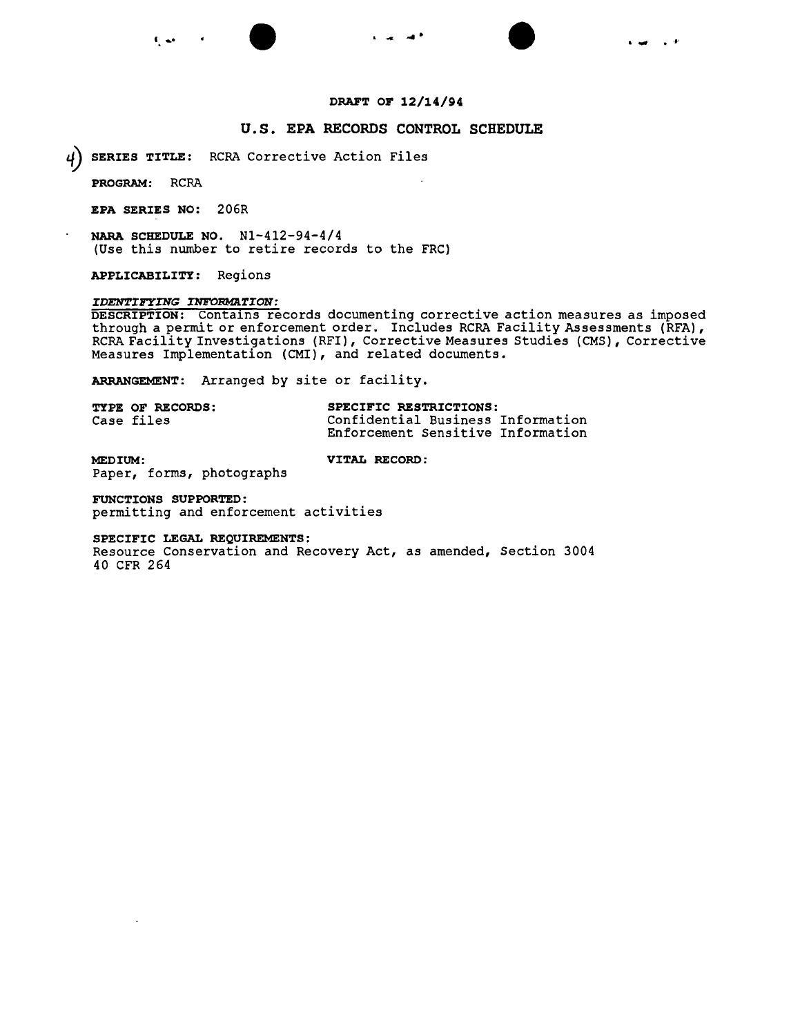# **DRAFT OF 12/14/94**

# **U.S. EPA RECORDS CONTROL SCHEDULE**

**~ SERIES TITLE:** RCRA Corrective Action Files

**PROGRAM:** RCRA

**EPA SERIES NO:** 206R

**NARA SCHEDULE NO.** Nl-412-94-4/4 (Use this number to retire records to the FRC)

**APPLICABILITY:** Regions

# *IDENTIFYING INFORMATION:*

**DESCRIPTION:** Contains records documenting corrective action measures as imposed through a permit or enforcement order. Includes RCRA Facility Assessments (RFA), RCRA Facility Investigations (RFI), Corrective Measures Studies (CMS), Corrective Measures Implementation (CMI), and related documents.

**ARRANGEMENT:** Arranged by site or facility.

| <b>TYPE OF RECORDS:</b> | SPECIFIC RESTRICTIONS:            |  |
|-------------------------|-----------------------------------|--|
| Case files              | Confidential Business Information |  |
|                         | Enforcement Sensitive Information |  |

**MEDIUM: VITAL RECORD:** Paper, forms, photographs

**FUNCTIONS SUPPORTED:**

permitting and enforcement activities

**SPECIFIC LEGAL REQUIREMENTS:**

Resource Conservation and Recovery Act, as amended, Section 3004 40 CFR 264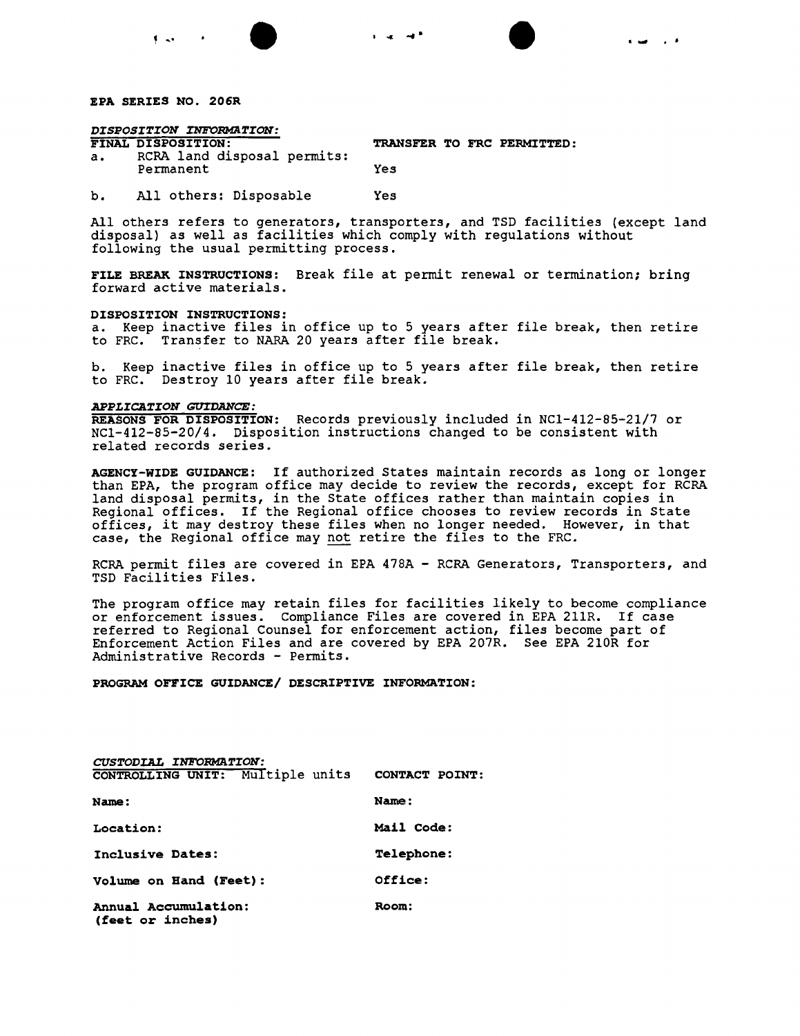

 $\mathbf{f} = \mathbf{f} \mathbf{e}$ 

# *DISPOSITION INFORMATION:*

TRANSFER TO FRC PERMITTED:

I..., .'

a. RCRA land disposal permits: Permanent Yes

b. All others: Disposable Yes

All others refers to generators, transporters, and TSD facilities (except land disposal) as well as facilities which comply with regulations without following the usual permitting process.

• • . .... .......

FILE BREAK INSTRUCTIONS: Break file at permit renewal or termination; bring forward active materials.

### DISPOSITION INSTRUCTIONS:

a. Keep inactive files in office up to 5 years after file break, then retire to FRC. Transfer to NARA 20 years after file break.

b. Keep inactive files in office up to 5 years after file break, then retire to FRC. Destroy 10 years after file break.

# *APPLICATION GUIDANCE:*

REASONS FOR DISPOSITION: Records previously included in NCl-412-85-21/7 or NCl-412-85-20/4. Disposition instructions changed to be consistent with related records series.

AGENCY-WIDE GUIDANCE: If authorized States maintain records as long or longer than EPA, the program office may decide to review the records, except for RCRA land disposal permits, in the State offices rather than maintain copies in Regional offices. If the Regional office chooses to review records in State offices, it may destroy these files when no longer needed. However, in that case, the Regional office may not retire the files to the FRC.

RCRA permit files are covered in EPA 478A - RCRA Generators, Transporters, and TSD Facilities Files.

The program office may retain files for facilities likely to become compliance or enforcement issues. Compliance Files are covered in EPA 211R. If case referred to Regional Counsel for enforcement action, files become part of Enforcement Action Files and are covered by EPA 207R. See EPA 210R for Administrative Records - Permits.

PROGRAM OFFICE GUIDANCE/ DESCRIPTIVE INFORMATION:

| CUSTODIAL INFORMATION:                          |                   |
|-------------------------------------------------|-------------------|
| CONTROLLING UNIT: Multiple units CONTACT POINT: |                   |
| <b>Name:</b>                                    | Name:             |
| <b>Location:</b>                                | Mail Code:        |
| Inclusive Dates:                                | <b>Telephone:</b> |
| <b>Volume on Hand (Feet):</b>                   | Office:           |
| <b>Annual Accumulation:</b><br>(feet or inches) | Room:             |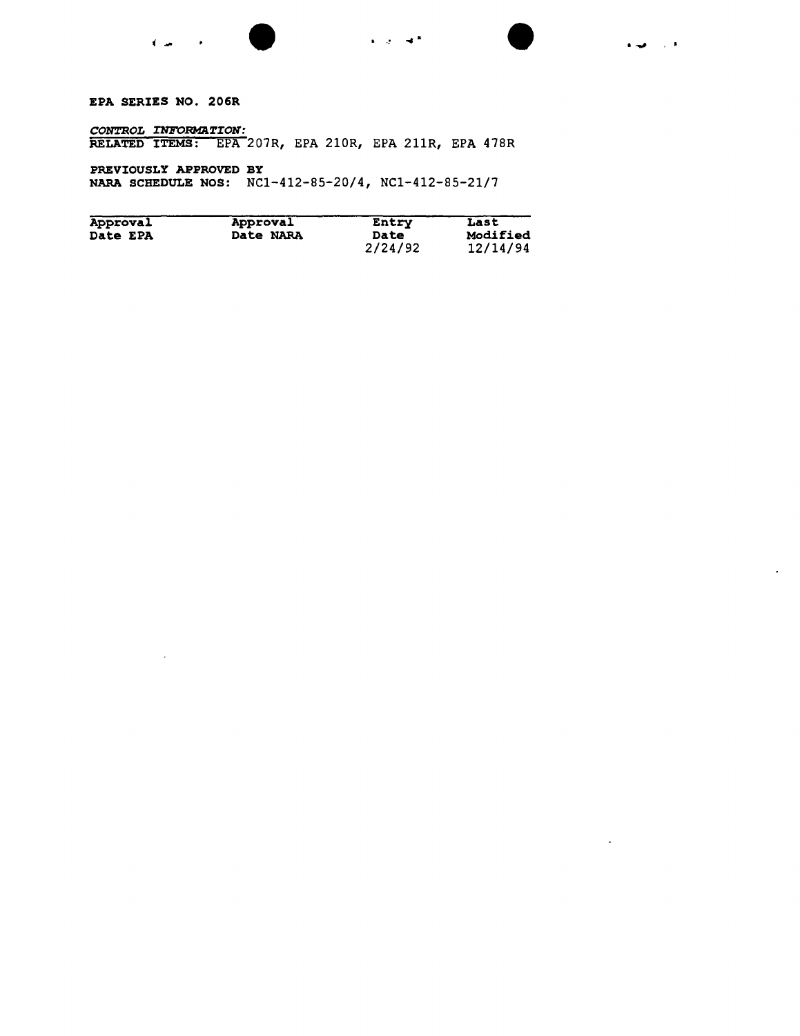

 $\sim$ 

 $\mathbb{Z}^2$ 

EPA SERIES NO. 206R

 $\mathcal{L}$ 

 $\emph{CONTROL}$  *INFORMATION* RELATED ITEMS: EPA 207R, EPA 210R, EPA 211R, EPA 478R

PREVIOUSLY APPROVED BY NARA SCHEDULE NOS: NC1-412-85-20/4, NC1-412-85-21/7

| Approval        | Approval  | Entry   | Last     |
|-----------------|-----------|---------|----------|
| <b>Date EPA</b> | Date NARA | Date    | Modified |
|                 |           | 2/24/92 | 12/14/94 |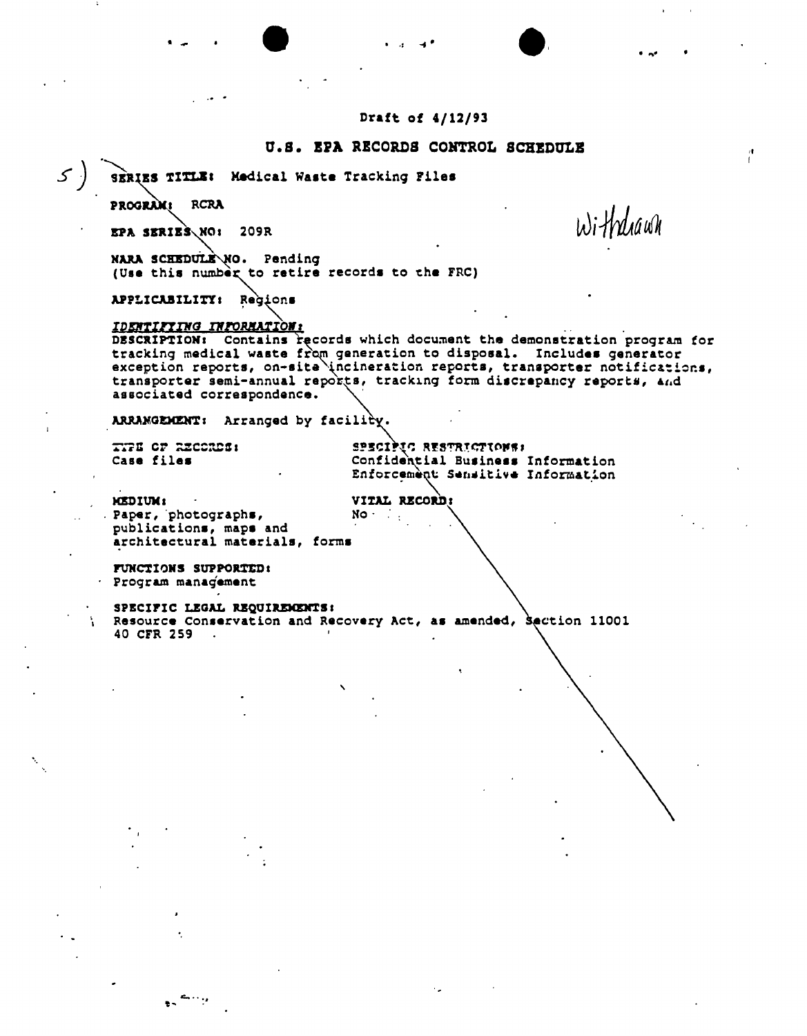Draft of 4/12/93

,- . ., .... • •• ...-

# .1

U.S. EPA RECORDS CONTROL SCHEDULE<br><sup>9</sup>SERIES TITLE: Medical Waste Tracking Files

PROGRAM: RCRA

 $EPA$  skriEs $NQ$ : 209R

.' .

NARA SCHEDULE\NO. Pending (Use this number to retire records to the FRC)

APPLICABILITY: Regions

*IDENTIFIING INFORMATION:*<br>DESCRIPTION: Contains records which document the demonstration program for tracking medical waste from generation to disposal. Includes generator exception reports, on-site incineration reports, transporter notifications, transporter semi-annual reports, tracking form discrepancy reports, and associated correspondence. '

ARRAMGEMENT: Arranged by facility.

... 71: CF RECORDS: THE SPECIPIC RESTRICTIONS:<br>Case files The Confidential Business Case files **confidential Business Information** Enforcement Semsitive Information I

Withdiawh

MEDIUM: VITAL RECORD! . Paper, photographs,  $NO$ publications, maps and architectural materials, forms

FUNCTIONS SUPPORTED: Progr&m management

 $\ddot{\phantom{a}}$ 

SPECIFIC LEGAL REQUIREME Resource Conservation and Recovery Act, as amended, Section 11001 40 CFR 259  $\sim$ 

,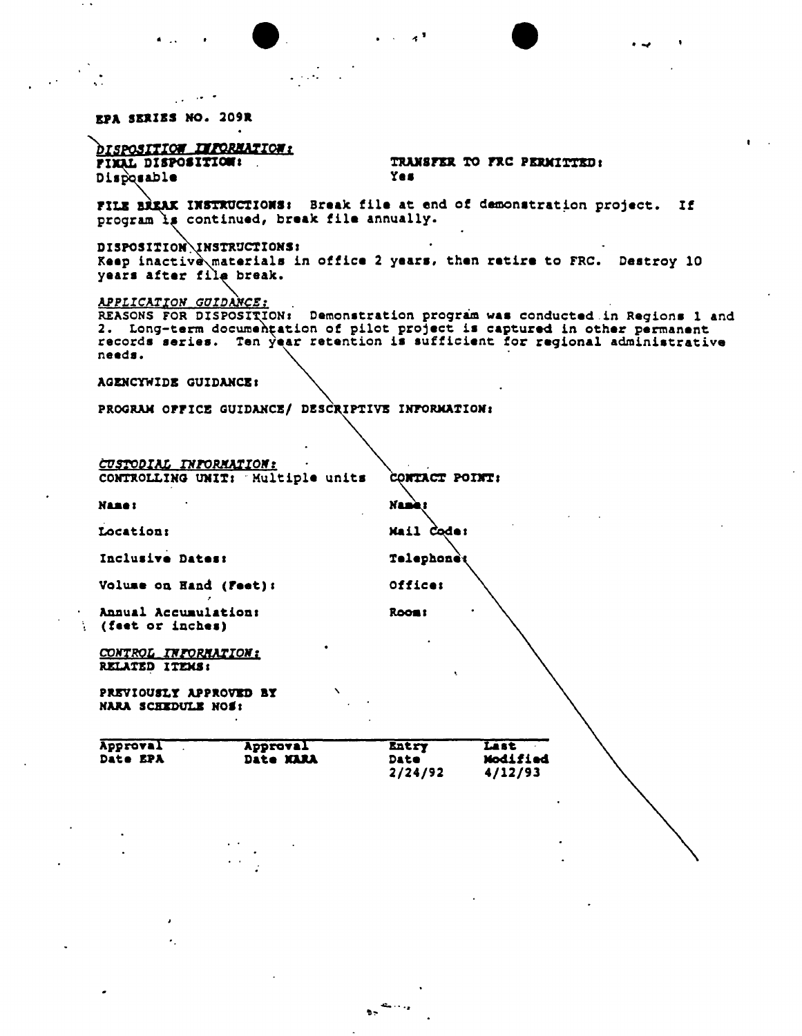•• • .., .~ .' . **EPA SERIES NO. 209R** *brsposition IXPORMATION:*<br>FIXAL DISPOSITION: TRANSFER TO FRC PERMITTED:<br>Yes Disposable FILE BREAK INSTRUCTIONS: Break file at end of demonstration project. If program is continued, break file annually. DISPOSITION\INSTRUCTIONS; Keep inactive materials in office 2 years, then retire to FRC. Destroy 10 years after filę break *APPLICATION GUIDANCE; . .* REASONS FOR DISPOSITION: Demonstration program was conducted in Regions 1 and 2. Long-term documentation of pilot project is captured in other permanent records series. Ten year retention is sufficient for regional administrative needs. AGENCYWIDE GUIDANCE: PROGRAM OPFICE GUIDANCE/ DESCRIPTIVE INFORMATION: *t:usroDIAI, I1Il'OR!fA1IOlf: . ~* CONTROLLING UNIT: Multiple units CONTACT POINT: **Name:** Nam Mail Code: Location: Inclusive Dates: Telephonet Volume on Hand (Feet): 0ffice: Annual Accumulation: Room: (feet or inches) *COKTRQL rNlOBlfAZION:* RELATED ITEMS: PREVIOUSLY APPROVED BY NARA SCHEDULE HOS: Approval Approval Entry Last Approval Approval Entry Last<br>Date EPA Date MARA Date Modified 2/24/92 4/12/93

 $b^{\frac{1}{2}}$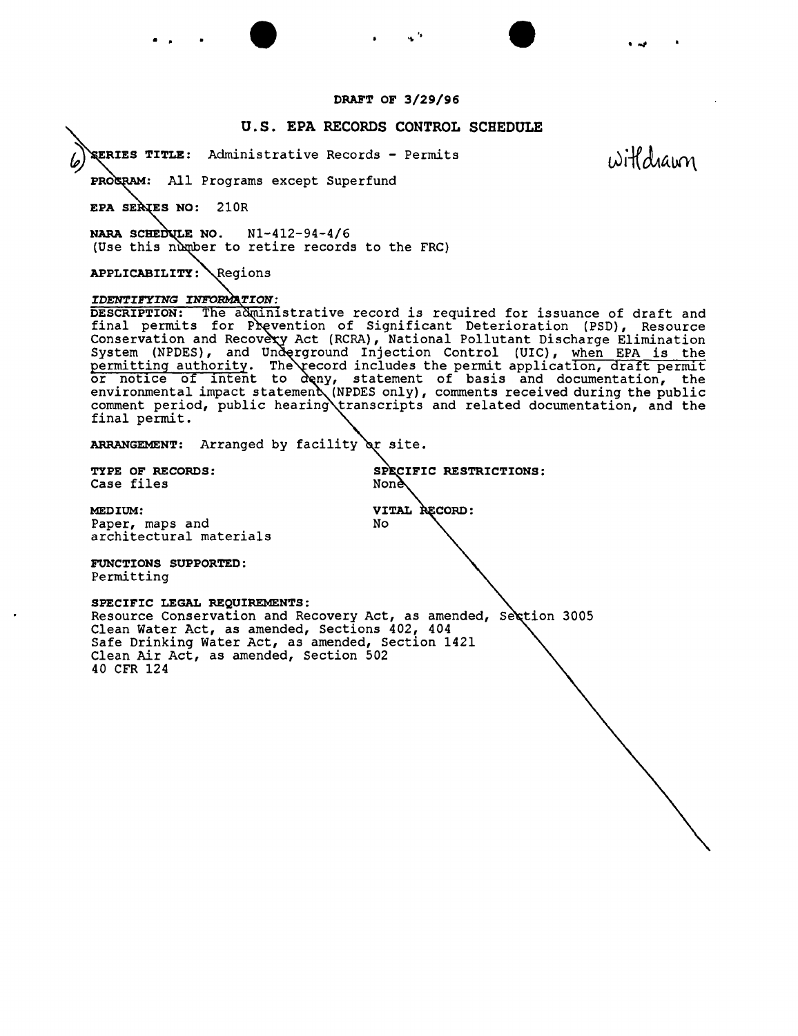# **DRAFT OF 3/29/96**

• <sup>~</sup> '. • *...,*

# **u.s. EPA RECORDS CONTROL SCHEDULE**

**TITLE:** Administrative Records - Permits

withdrawn

PROGRAM: All Programs except Superfund

**EPA SERIES NO: 210R** 

• •

**NARA SCHEDULE NO. N1-412-94-4/6** (Use this number to retire records to the FRC)

APPLICABILITY: Regions

### IDENTIFYING INFORMATION:

**DESCRIPTION:** The administrative record is required for issuance of draft and final permits for Prevention of Significant Deterioration (PSD), Resource Conservation and Recovery Act (RCRA), National Pollutant Discharge Elimination System (NPDES), and Underground Injection Control (UIC), <u>when EPA is the</u> permitting authority. The record includes the permit application, draft permi or notice of intent to deny, statement of basis and documentation, the environmental impact statement (NPDES only), comments received during the public comment period, public hearing transcripts and related documentation, and the final permit.

ARRANGEMENT: Arranged by facility or site.

Case files

**TYPE OF RECORDS: RESTRICTIONS:**

VITAL RECORD:

No

**MEDIUM:** Paper, maps and architectural materials

**FUNCTIONS SUPPORTED:** Permitting

**SPECIFIC LEGAL REQUIREMENTS:** Resource Conservation and Recovery Act, as amended, Section 3005 Clean Water Act, as amended, sections 402, 404 Safe Drinking Water Act, as amended, Section 1421 Clean Air Act, as amended, Section 502 40 CFR 124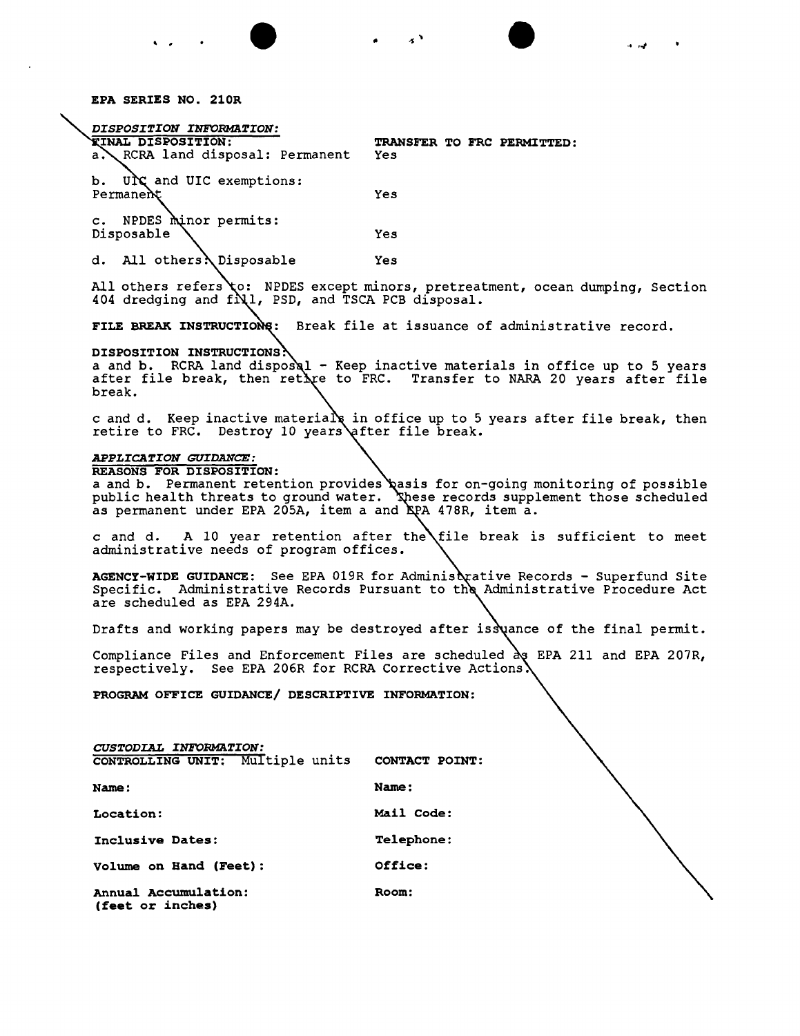EPA SERIES NO. 210R

*DISPOSITION INFORMaTION:* TINAL DISPOSITION: TRANSFER TO FRC PERMITTED:<br>a. RCRA land disposal: Permanent Yes RCRA land disposal: Permanent b. UN and UIC exemptions:<br>Permanent Yes c. NPDES minor permits: Disposable Yes

d. All others \ Disposable Yes

All others refers to: NPDES except minors, pretreatment, ocean dumping, Section 404 dredging and  $fN1$ , PSD, and TSCA PCB disposal.

• • . , .1 '-/

FILE BREAK INSTRUCTIONS: Break file at issuance of administrative record.

# DISPOSITION INSTRUCTIONS.

a and b. RCRA land disposal - Keep inactive materials in office up to 5 years after file break, then retive to FRC. Transfer to NARA 20 years after file break.

c and d. Keep inactive materials in office up to 5 years after file break, then retire to FRC. Destroy 10 years

# *APPLICATION GUIDANCE:*

REASONS FOR DISPOSITION:

a and b. Permanent retention provides qasis for on-going monitoring of possible public health threats to ground water. Khese records supplement those scheduled as permanent under EPA 205A, item a and EPA 478R, item a.

 ${\tt c}$  and  ${\tt d.}$   ${\tt A}$   ${\tt l0}$  year retention after the $\setminus$ file break is sufficient to meet administrative needs of program offices.

AGENCY-WIDE GUIDANCE: See EPA 019R for Adminis cative Records - Superfund Site Specific. Administrative Records Pursuant to the Administrative Procedure Act are scheduled as EPA 294A.

Drafts and working papers may be destroyed after is $\aleph$ ance of the final permit.

Compliance Files and Enforcement Files are scheduled as EPA 211 and EPA 207R, respectively. See EPA 206R for RCRA Corrective Actions.  $\overline{\phantom{a}}$ 

PROGRAM OFFICE GUIDANCE/ DESCRIPTIVE INFORMATION:

*CUSTODIAL INFORMaTION:* CONTROLLING UNIT: Multiple units Name: nits CONTACT POINT: Name: Location: Mail Code: Inclusive Dates: Telephone: Volume on Band (Feet): Office: Annual Accumulation: (feet or inches) Room: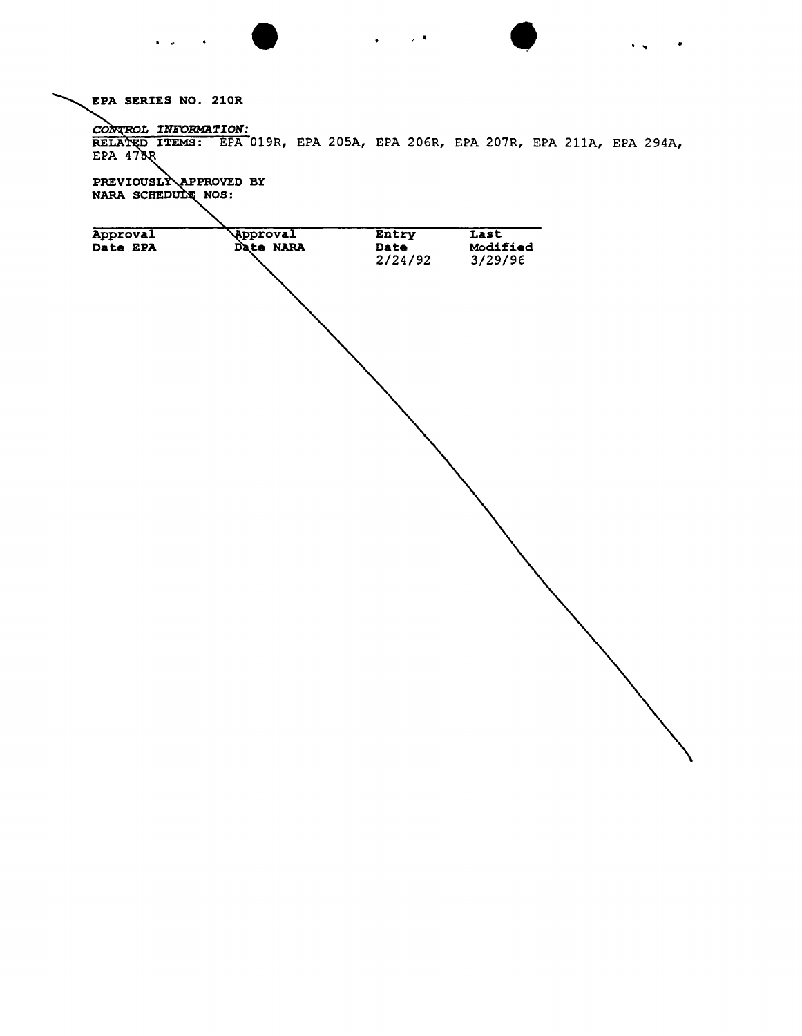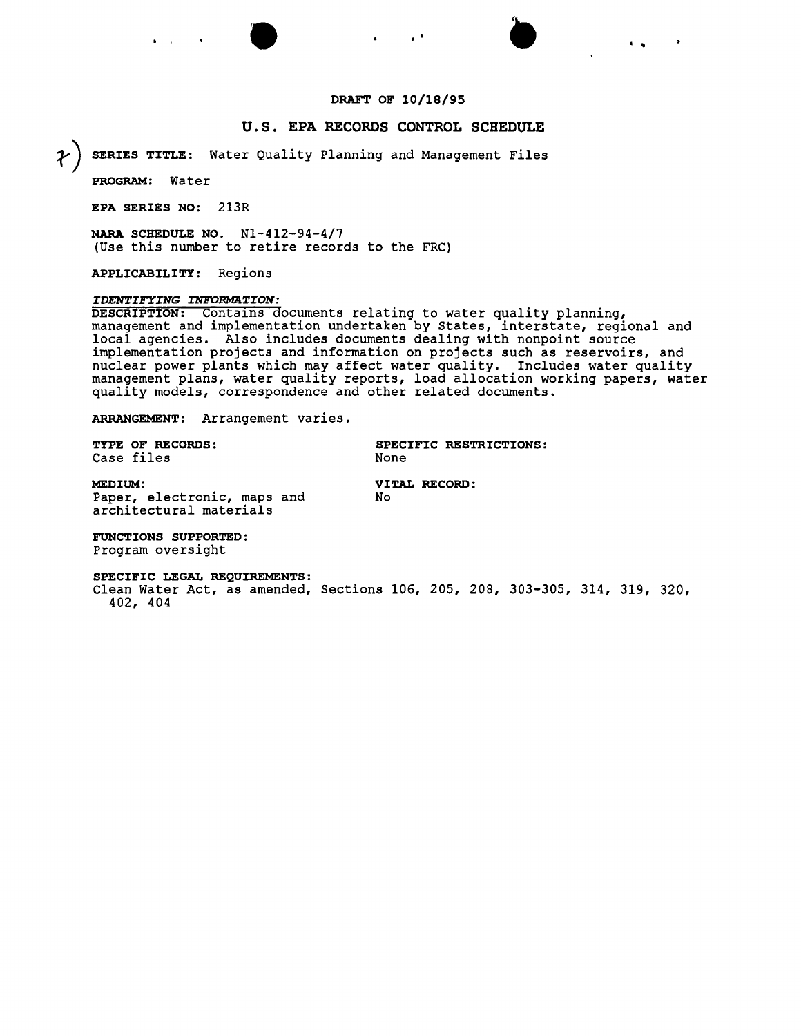# **DRAFT OF 10/18/95**

• ,. . . ...

# **u.s. EPA RECORDS CONTROL SCHEDULE**

**~) SERIES TITLE:** Water Quality Planning and Management Files

**PROGRAM:** Water

**EPA SERIES NO:** 213R

**NARA SCHEDULE NO.** Nl-412-94-4/7 (Use this number to retire records to the FRC)

**APPLICABILITY:** Regions

### *IDENTIFYING INFORMATION:*

**DESCRIPTION:** Contains documents relating to water quality planning, management and implementation undertaken by States, interstate, regional and local agencies. Also includes documents dealing with nonpoint source implementation projects and information on projects such as reservoirs, and nuclear power plants which may affect water quality. Includes water quality management plans, water quality reports, load allocation working papers, water quality models, correspondence and other related documents.

**ARRANGEMENT:** Arrangement varies.

| TYPE OF RECORDS: |      | SPECIFIC RESTRICTIONS: |
|------------------|------|------------------------|
| Case files       | None |                        |

**MEDIUM: VITAL RECORD:** Paper, electronic, maps and architectural materials

**FUNCTIONS SUPPORTED:** Program oversight

### **SPECIFIC LEGAL REQUIREMENTS:**

Clean Water Act, as amended, Sections 106, 205, 208, 303-305, 314, 319, 320, 402, 404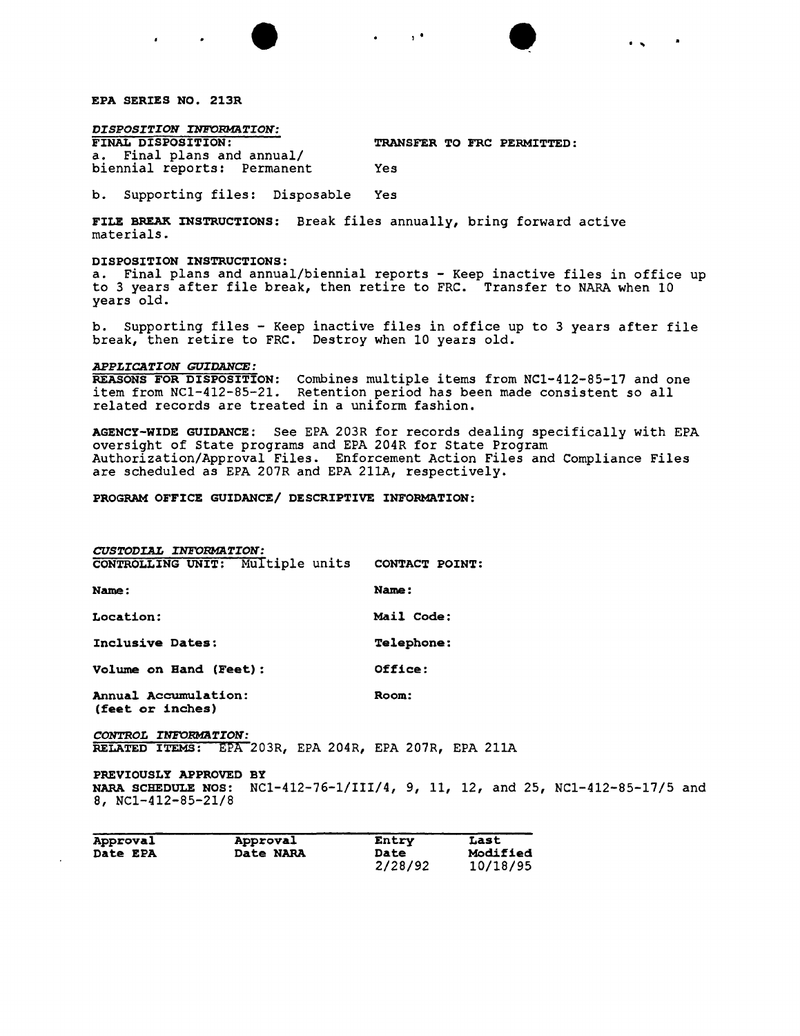

 $\mathbf{r}$ 

*DISPOSITION INFORMATION:*

TRANSFER TO FRC PERMITTED:

• • , . . ..

a. Final plans and annual/ biennial reports: Permanent Yes

b. Supporting files: Disposable Yes

FILE BREAK INSTRUCTIONS: Break files annually, bring forward active materials.

### DISPOSITION INSTRUCTIONS:

a. Final plans and annual/biennial reports - Keep inactive files in office up to 3 years after file break, then retire to FRC. Transfer to NARA when 10 years old.

b. Supporting files - Keep inactive files in office up to 3 years after file break, then retire to FRC. Destroy when 10 years old.

#### *APPLICATION GUIDANCE:*

REASONS FOR DISPOSITION: Combines multiple items from NCl-412-85-17 and one item from NCl-412-85-21. Retention period has been made consistent so all related records are treated in a uniform fashion.

AGENCY-WIDE GUIDANCE: See EPA 203R for records dealing specifically with EPA oversight of State programs and EPA 204R for State Program Authorization/Approval Files. Enforcement Action Files and Compliance Files are scheduled as EPA 207R and EPA 211A, respectively.

### PROGRAM OFFICE GUIDANCE/ DESCRIPTIVE INFORMATION:

| CUSTODIAL INFORMATION:                   |                   |
|------------------------------------------|-------------------|
| CONTROLLING UNIT: Multiple units         | CONTACT POINT     |
| <b>Name:</b>                             | Name:             |
| Location:                                | Mail Code:        |
| Inclusive Dates:                         | <b>Telephone:</b> |
| Volume on Hand (Feet):                   | Office:           |
| Annual Accumulation:<br>(feet or inches) | Room:             |

*CONTROL INFORMATION:* RELATED ITEMS: EPA 203R, EPA 204R, EPA 207R, EPA 211A

PREVIOUSLY APPROVED BY NARA SCHEDULE NOS: NCl-412-76-1/III/4, 9, 11, 12, and 25, NCl-412-85-17/5 and 8, NCl-412-85-21/8

| Approval | Approval  | Entry       | Last     |
|----------|-----------|-------------|----------|
| Date EPA | Date NARA | <b>Date</b> | Modified |
|          |           | 2/28/92     | 10/18/95 |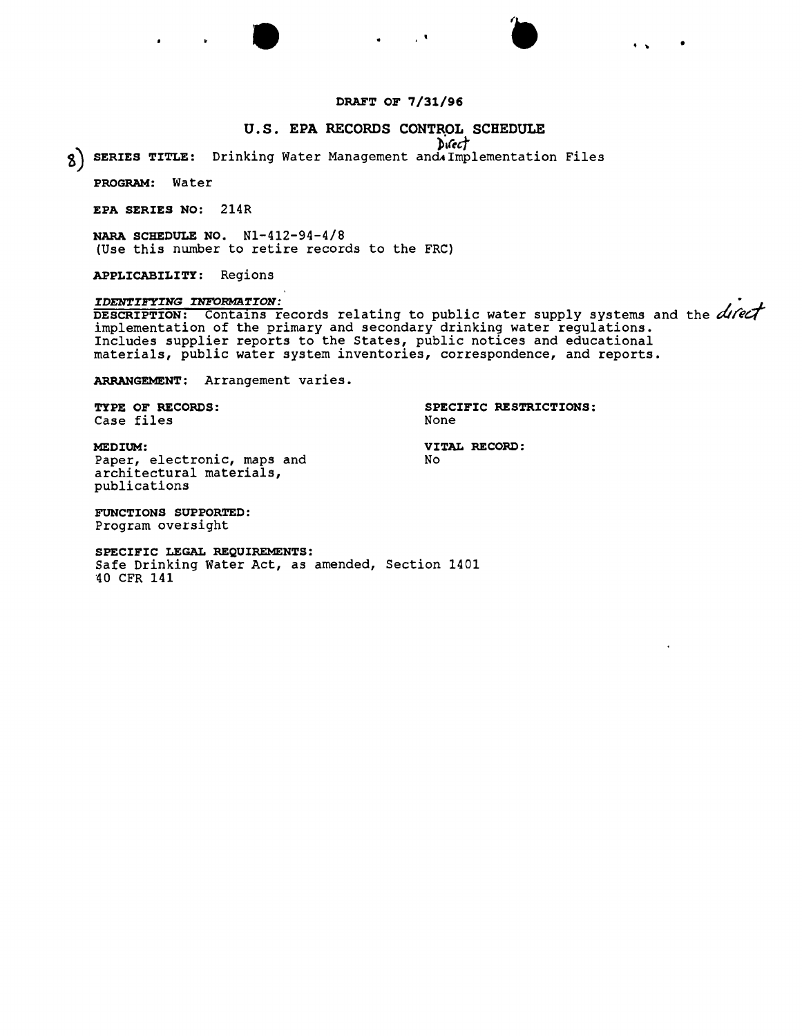# **DRAFT OF 7/31/96**

 $\mathbf{L}$ 

# **u.s. EPA RECORDS CONTROL SCHEDULE**

*D<sub>"</sub>(ect)* 

**~) SERIES TITLE:** Drinking Water Management andAImplementation Files

**PROGRAM:** Water

**EPA SERIES NO:** 214R

**NARA SCHEDULE NO.** N1-412-94-4/8 (Use this number to retire records to the FRC)

•

**APPLICABILITY:** Regions

### *IDENTIFYING INFORMATION:*

**DESCRIPTION:** Contains records relating to public water supply systems and the *difect*<br>implementation of the primary and secondary drinking water regulations. Includes supplier reports to the States, public notices and educational materials, public water system inventories, correspondence, and reports.

**ARRANGEMENT:** Arrangement varies.

Case files

**TYPE OF RECORDS: SPECIFIC RESTRICTIONS:**

•

**MEDIUM: VITAL RECORD:** Paper, electronic, maps and architectural materials, publications

**FUNCTIONS SUPPORTED:** Program oversight

**SPECIFIC LEGAL REQUIREMENTS:** Safe Drinking Water Act, as amended, Section 1401

'40CFR 141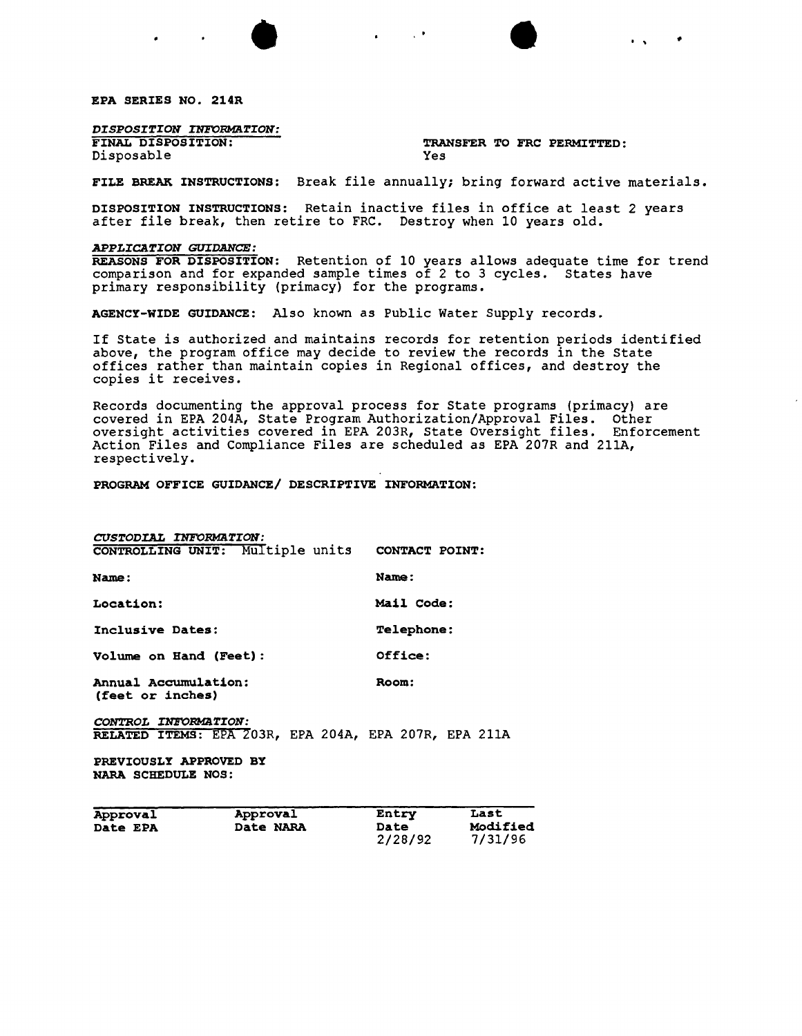EPA SERIES NO. 214R

*DISPOSITION INFORMaTION:*

Disposable

TRANSFER TO FRC PERMITTED:<br>Yes

• • . . •

FILE BREAK INSTRUCTIONS: Break file annually; bring forward active materials.

DISPOSITION INSTRUCTIONS: Retain inactive files in office at least 2 years after file break, then retire to FRC. Destroy when 10 years old.

### *APPLICATION GUIDANCE:*

REASONS FOR DISPOSITION: Retention of 10 years allows adequate time for trend comparison and for expanded sample times of 2 to 3 cycles. States have primary responsibility (primacy) for the programs.

AGENCY-WIDE GUIDANCE: Also known as Public Water Supply records.

If State is authorized and maintains records for retention periods identified above, the program office may decide to review the records in the State offices rather than maintain copies in Regional offices, and destroy the copies it receives.

Records documenting the approval process for State programs (primacy) are covered in EPA 204A, State Program Authorization/Approval Files. Other oversight activities covered in EPA 203R, State Oversight files. Enforcement Action Files and Compliance Files are scheduled as EPA 207R and 211A, respectively.

PROGRAM OFFICE GUIDANCE/ DESCRIPTIVE INFORMATION:

| CUSTODIAL INFORMATION:                          |                   |
|-------------------------------------------------|-------------------|
| CONTROLLING UNIT: Multiple units CONTACT POINT: |                   |
| Name:                                           | Name:             |
| Location:                                       | Mail Code:        |
| Inclusive Dates:                                | <b>Telephone:</b> |
| Volume on Hand (Feet):                          | Office:           |
| Annual Accumulation:<br>(feet or inches)        | Room:             |
| CONTROL INFORMATION:                            |                   |

RELATED ITEMS: EPA 203R, EPA 204A, EPA 207R, EPA 211A

PREVIOUSLY APPROVED BY NARA SCHEDULE NOS:

| Approval | Approval  | Entry                  | Last                       |
|----------|-----------|------------------------|----------------------------|
| Date EPA | Date NARA | <b>Date</b><br>2/28/92 | <b>Modified</b><br>7/31/96 |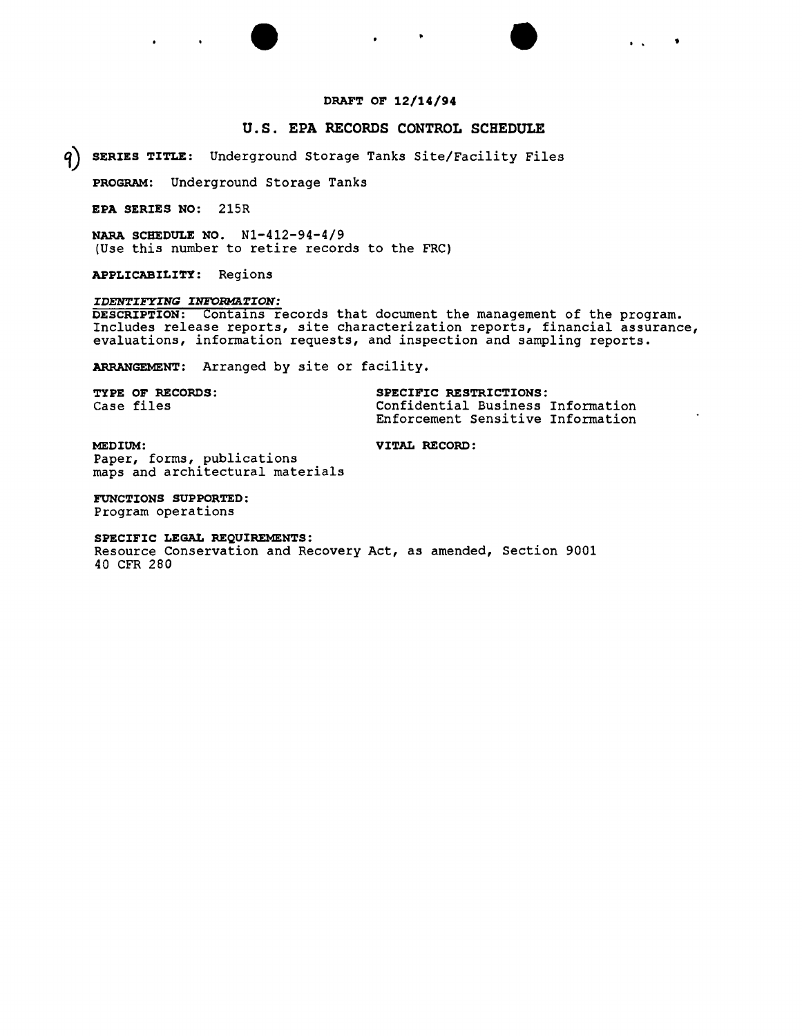# **DRAFT OF 12/14/94**

• • .. <sup>t</sup>

# **U.S. EPA RECORDS CONTROL SCHEDULE**

**q) SERIES TITLE:** Underground Storage Tanks Site/Facility Files

**PROGRAM:** Underground Storage Tanks

**EPA SERIES NO:** 215R

**NARA SCHEDULE NO.** N1-412-94-4/9 (Use this number to retire records to the FRC)

**APPLICABILITY:** Regions

### *IDENTIFYING INFORMarION:*

**DESCRIPTION:** Contalns records that document the management of the program. Includes release reports, site characterization reports, financial assurance, evaluations, information requests, and inspection and sampling reports.

**ARRANGEMENT:** Arranged by site or facility,

| <b>TYPE OF RECORDS:</b> | SPECIFIC RESTRICTIONS:            |  |  |
|-------------------------|-----------------------------------|--|--|
| Case files              | Confidential Business Information |  |  |
|                         | Enforcement Sensitive Information |  |  |

**MEDIUM: VITAL RECORD:** Paper, forms, publications maps and architectural materials

**FUNCTIONS SUPPORTED:** Program operations

**SPECIFIC LEGAL REQUIREMENTS:** Resource Conservation and Recovery Act, as amended, Section 9001 40 CFR 280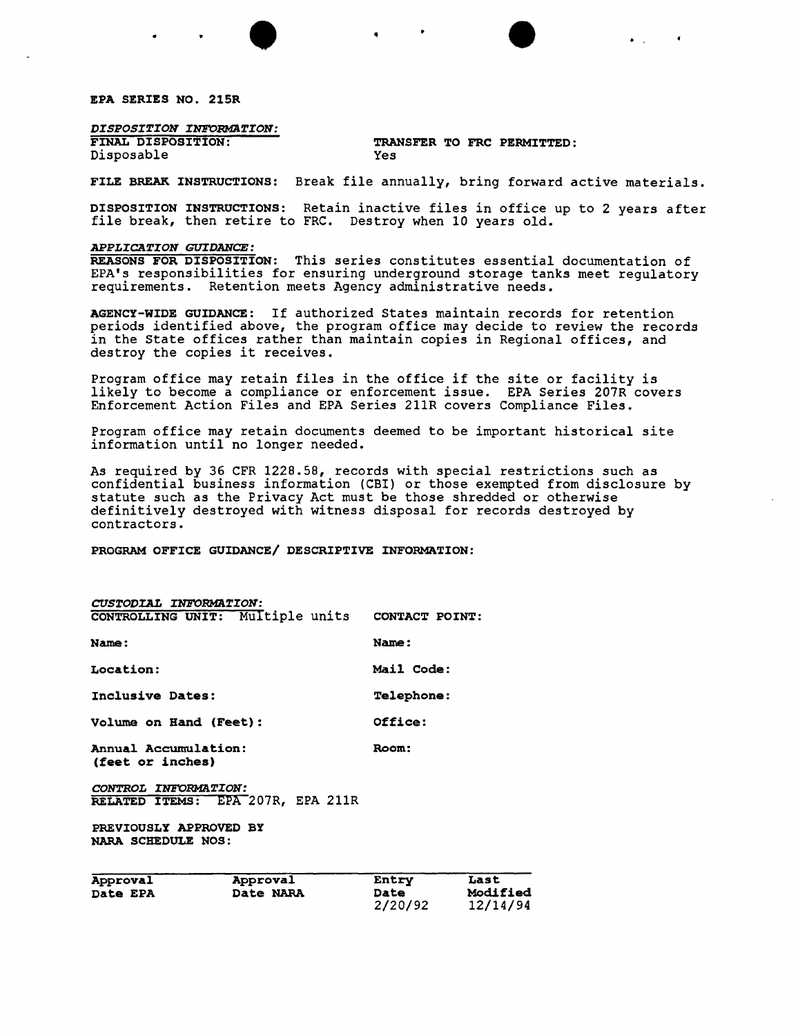EPA SERIES NO. 215R

*DISPOSITION INFORMaTION:*

Disposable

# TRANSFER TO FRC PERMITTED:<br>Yes

• • . ,

FILE BREAK INSTRUCTIONS: Break file annually, bring forward active materials.

DISPOSITION INSTRUCTIONS: Retain inactive files *in* office up to 2 years after file break, then retire to FRC. Destroy when 10 years old.

### *APPLICATION GUrDANCE:*

REASONS FOR DISPOSITION: This series constitutes essential documentation of EPA's responsibilities for ensuring underground storage tanks meet regulatory requirements. Retention meets Agency administrative needs.

AGENCY-WIDE GUIDANCE: If authorized States maintain records for retention periods identified above, the program office may decide to review the records *in* the State offices rather than maintain copies in Regional offices, and destroy the copies it receives.

Program office may retain files *in* the office if the site or facility is likely to become a compliance or enforcement *issue.* EPA *Series* 207R covers Enforcement Action Files and EPA Series 211R covers Compliance Files.

Program office may retain documents deemed to be important historical site information until no longer needed.

As required by 36 CFR 1228.58, records with special restrictions such as confidential business information (CBI) or those exempted from disclosure by statute such as the Privacy Act must be those shredded or otherwise definitively destroyed with witness disposal for records destroyed by contractors.

PROGRAM OFFICE GUIDANCE/ DESCRIPTIVE INFORMATION:

| CUSTODIAL INFORMATION:                          |                   |
|-------------------------------------------------|-------------------|
| CONTROLLING UNIT: Multiple units CONTACT POINT: |                   |
| Name:                                           | Name:             |
| Location:                                       | Mail Code:        |
| Inclusive Dates:                                | <b>Telephone:</b> |
| Volume on Hand (Feet):                          | Office:           |
| Annual Accumulation:<br>(feet or inches)        | Room:             |
| CONTROL INFORMATION:                            |                   |
| RELATED ITEMS: EPA 207R. EPA 211R               |                   |
| PREVIOUSLY APPROVED BY<br>NARA SCHEDULE NOS:    |                   |

| Approval        | Approval  | Entry       | Last     |
|-----------------|-----------|-------------|----------|
| <b>Date EPA</b> | Date NARA | <b>Date</b> | Modified |
|                 |           | 2/20/92     | 12/14/94 |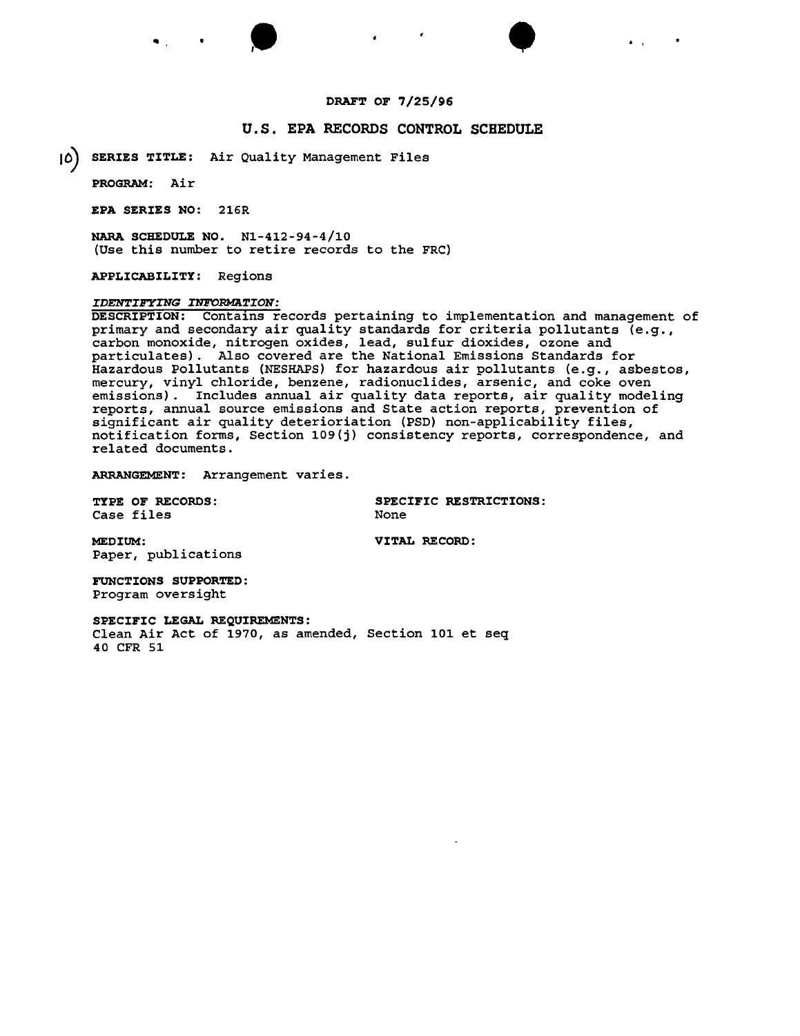## DRAFT OF 7/25/96

• • .. . ,

# U.S. EPA RECORDS CONTROL SCHEDULE

10) SERIES TITLE: Air Quality Management Files

PROGRAM: Air

EPA SERIES NO: 216R

NARA SCHEDULE NO. Nl-412-94-4/10 (Use this number to retire records to the FRC)

APPLICABILITY: Regions

### *IDENTIFYING INFORMATION:*

DESCRIPTION: Contains records pertaining to implementation and management of primary and secondary air quality standards for criteria pollutants (e.g., carbon monoxide, nitrogen oxides, lead, sulfur dioxides, ozone and particulates). Also covered are the National Emissions Standards for Hazardous Pollutants (NESHAPS) for hazardous air pollutants (e.g., asbestos, mercury, vinyl chloride, benzene, radionuclides, arsenic, and coke oven emissions). Includes annual air quality data reports, air quality modeling reports, annual source emissions and State action reports, prevention of significant air quality deterioriation (PSD) non-applicability files, notification forms, Section 109(j) consistency reports, correspondence, and related documents.

ARRANGEMENT: Arrangement varies.

Case files

TYPE OF RECORDS: SPECIFIC RESTRICTIONS:<br>
Case files<br>
None<br>
None

MEDIUM: VITAL RECORD: Paper, publications

FUNCTIONS SUPPORTED: Program oversight

SPECIFIC LEGAL REQUIREMENTS:

Clean Air Act of 1970, as amended, Section 101 et seq 40 CFR 51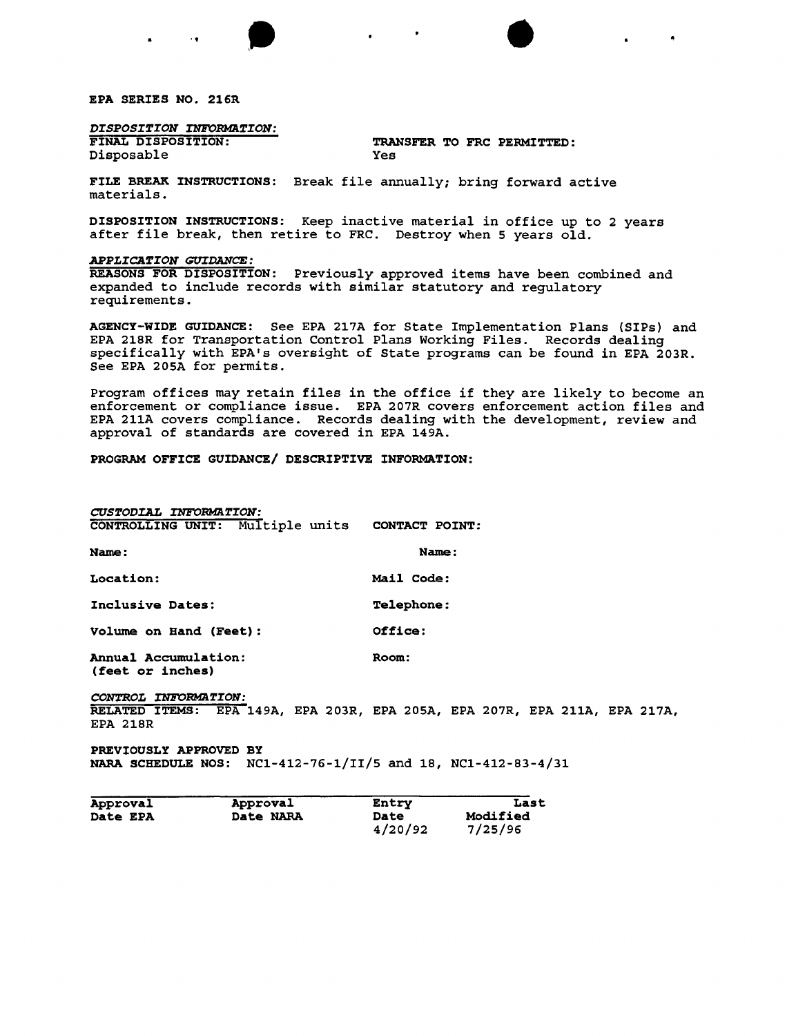EPA SERIES NO. 216R

*DISPOSITION INFO~TION:*

'.

Disposable

FINAL DISPOSITION: TRANSFER TO FRC PERMITTED: Yes

FILE BREAK INSTRUCTIONS: Break file annually; bring forward active materials.

DISPOSITION INSTRUCTIONS: Keep inactive material in office up to 2 years after file break, then retire to FRC. Destroy when 5 years old.

 $\bullet$ 

### *APPLICATION GUrDANCE:*

REASONS FOR DISPOSITION: Previously approved items have been combined and expanded to include records with similar statutory and regulatory requirements.

AGENCY-WIDE GUIDANCE: See EPA 217A for State Implementation Plans (SIPs) and EPA 218R for Transportation Control Plans Working Files. Records dealing specifically with EPA's oversight of State programs can be found in EPA 203R. See EPA 205A for permits.

Program offices may retain files in the office if they are likely to become an enforcement or compliance issue. EPA 207R covers enforcement action files and EPA 211A covers compliance. Records dealing with the development, review and approval of standards are covered in EPA 149A.

PROGRAM OFFICE GUIDANCE/ DESCRIPTIVE INFORMATION:

| CUSTODIAL INFORMATION:                          |                   |  |  |
|-------------------------------------------------|-------------------|--|--|
| CONTROLLING UNIT: Multiple units CONTACT POINT: |                   |  |  |
| Name:                                           | Name:             |  |  |
| Location:                                       | Mail Code:        |  |  |
| Inclusive Dates:                                | <b>Telephone:</b> |  |  |
| Volume on Hand (Feet):                          | Office:           |  |  |
| Annual Accumulation:                            | Room:             |  |  |

(feet or inches)

 $CONTROL$  *INFORMATION:* RELATED ITEMS: EPA 149A, EPA 203R, EPA 205A, EPA 207R, EPA 211A, EPA 217A, EPA 218R

PREVIOUSLY APPROVED BY NARA SCHEDULE NOS: NCl-412-76-1/II/5 and 18, NCl-412-83-4/31

| Approval        | Approval  | Entry       | Last     |
|-----------------|-----------|-------------|----------|
| <b>Date EPA</b> | Date NARA | <b>Date</b> | Modified |
|                 |           | 4/20/92     | 7/25/96  |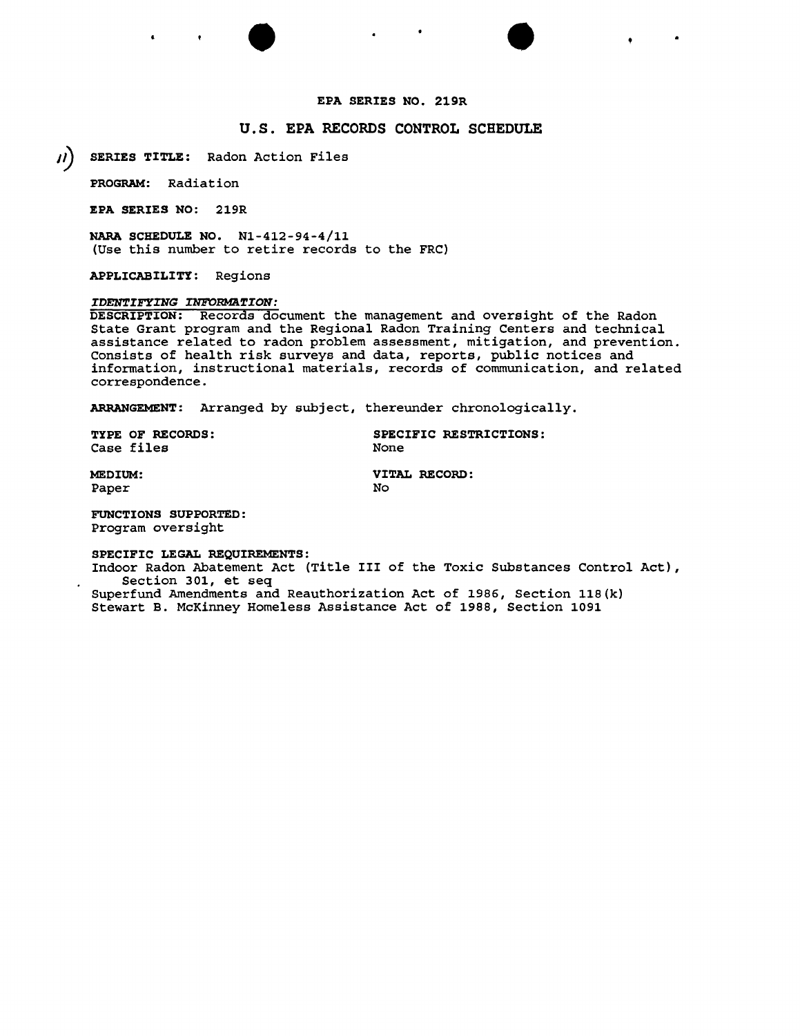# EPA SERIES NO. 219R

 $\bullet$   $\bullet$   $\bullet$ 

# u.s. EPA RECORDS CONTROL SCHEDULE

*II* SERIES TITLE: Radon Action Files

PROGRAM: Radiation

EPA SERIES NO: 219R

NARA SCHEDULE NO. Nl-412-94-4/11 (Use this number to retire records to the FRC)

APPLICABILITY: Regions

### *IDENTIFYING INFORMATION:*

DESCRIPTION: Records document the management and oversight of the Radon State Grant program and the Regional Radon Training Centers and technical assistance related to radon problem assessment, mitigation, and prevention. Consists of health risk surveys and data, reports, public notices and information, instructional materials, records of communication, and related correspondence.

ARRANGEMENT: Arranged by subject, thereunder chronologically.

Case files

TYPE OF RECORDS: SPECIFIC RESTRICTIONS:<br>Case files

Paper No. 2022 No. 2022 No. 2022 No. 2022 No. 2022 No. 2022 No. 2022 No. 2022 No. 2022 No. 2022 No. 2022 No. 20

MEDIUM: VITAL RECORD:

FUNCTIONS SUPPORTED: Program oversight

SPECIFIC LEGAL REQUIREMENTS:

Indoor Radon Abatement Act (Title III of the Toxic Substances Control Act), Section 301, et seq

Superfund Amendments and Reauthorization Act of 1986, Section 118(k) Stewart B. McKinney Homeless Assistance Act of 1988, Section 1091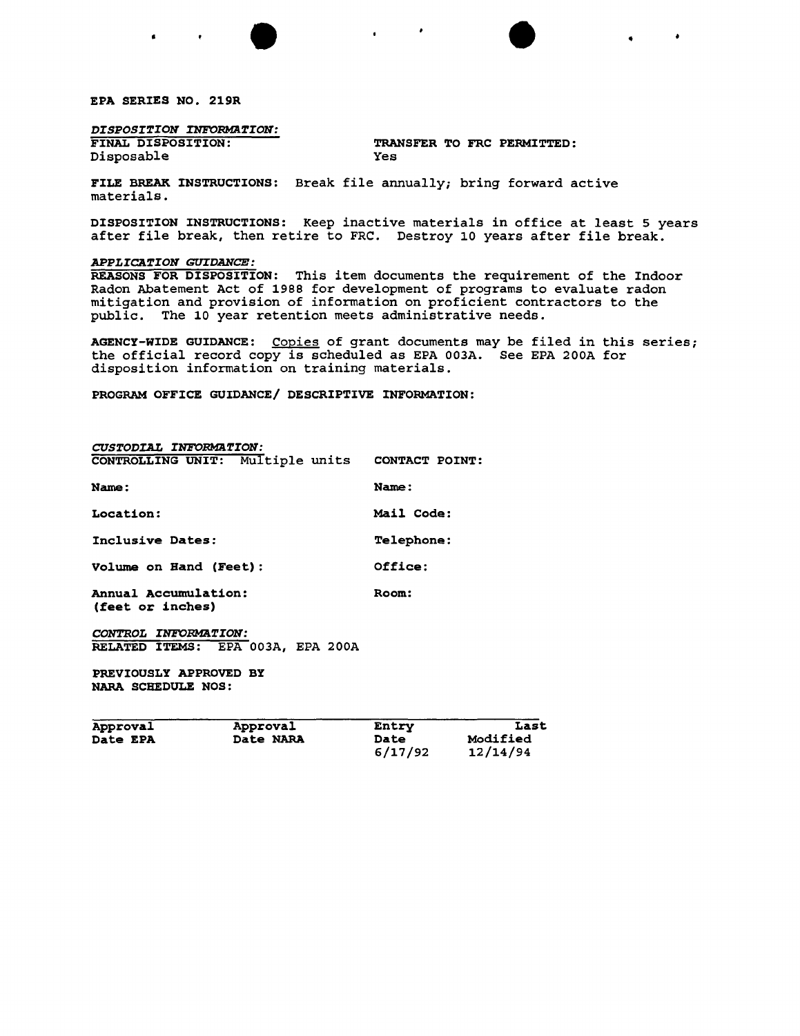EPA SERIES NO. 219R

# *DISPOSITION INFORMaTION:*

Disposable

TRANSFER TO FRC PERMITTED:<br>Yes

 $\bullet$ 

 $\bullet$   $\bullet$   $\bullet$   $\bullet$   $\bullet$ 

FILE BREAK INSTRUCTIONS: Break file annually; bring forward active materials.

DISPOSITION INSTRUCTIONS: Keep inactive materials in office at least 5 years after file break, then retire to FRC. Destroy 10 years after file break.

## *APPLICATION GUrDANCE:*

REASONS FOR DISPOSITION: This item documents the requirement of the Indoor Radon Abatement Act of 1988 for development of programs to evaluate radon mitigation and provision of information on proficient contractors to the public. The 10 year retention meets administrative needs.

AGENCY-WIDE GUIDANCE: Copies of grant documents may be filed in this series; the official record copy is scheduled as EPA 003A. See EPA 200A for disposition information on training materials.

PROGRAM OFFICE GUIDANCE/ DESCRIPTIVE INFORMATION:

| CUSTODIAL INFORMATION:                          |                   |
|-------------------------------------------------|-------------------|
| CONTROLLING UNIT: Multiple units CONTACT POINT: |                   |
| Name:                                           | Name:             |
| Location:                                       | <b>Mail Code:</b> |
| Inclusive Dates:                                | <b>Telephone:</b> |
| Volume on Hand (Feet):                          | Office:           |
| Annual Accumulation:<br>(feet or inches)        | Room:             |
| CONTROL INFORMATION:                            |                   |

RELATED ITEMS: EPA 003A, EPA 200A

PREVIOUSLY APPROVED BY NARA SCHEDULE NOS:

| Approval | Approval  | Entry           | Last                 |
|----------|-----------|-----------------|----------------------|
| Date EPA | Date NARA | Date<br>6/17/92 | Modified<br>12/14/94 |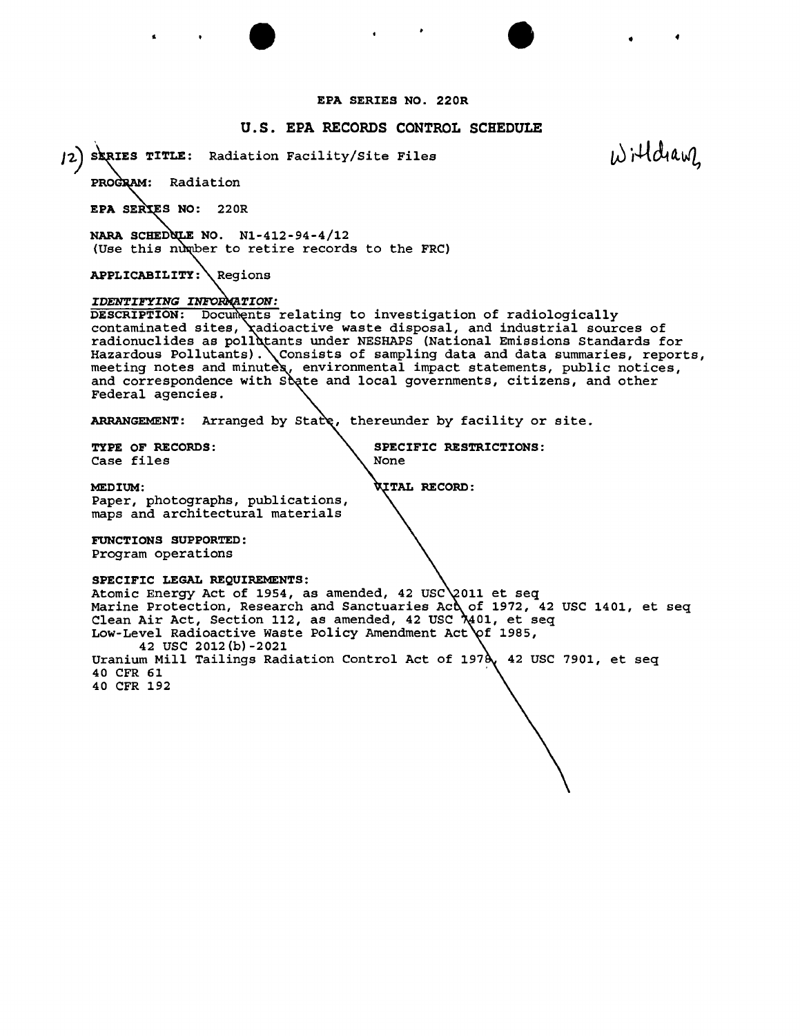## EPA SERIES NO. 220R

 $\bullet$   $\bullet$   $\bullet$   $\bullet$   $\bullet$ 

# u.s. EPA RECORDS CONTROL SCHEDULE

[2] SERIES TITLE: Radiation Facility/Site Files

Willdiam

PROGRAM: Radiation

EPA SERIES NO: 220R

NARA SCHEDULE NO.  $N1-412-94-4/12$ (Use this number to retire records to the FRC)

APPLICABILITY: **Regions** 

### *IDENTIFYING* INFO

DESCRIPTION: Documents relating to investigation of radiologically contaminated sites, *radioactive* waste disposal, and industrial sources of radionuclides as pollutants under NESHAPS (National Emissions Standards for Hazardous Pollutants). Consists of sampling data and data summaries, reports, meeting notes and minutes, environmental impact statements, public notices, and correspondence with Soate and local governments, citizens, and other Federal agencies.

ARRANGEMENT: Arranged by State, thereunder by facility or site.

Case files

TYPE OF RECORDS: SPECIFIC RESTRICTIONS:

MEDIUM:  $\hbox{WTHL}$  RECORD: Paper, photographs, publications, maps and architectural materials

FUNCTIONS SUPPORTED: Program operations

#### SPECIFIC LEGAL REQUIREMENTS:

Atomic Energy Act of 1954, as amended, 42 USC 2011 et seq Marine Protection, Research and Sanctuaries Ac $\bigcirc$  of 1972, 42 USC 1401, et seq Clean Air Act, Section 112, as amended, 42 USC 01, et seq Low-Level Radioactive Waste Policy Amendment Act of 1985, 42 USC 2012(b)-2021 Uranium Mill Tailings Radiation Control Act of 1978, 42 USC 7901, et seq 40 CFR 61 40 CFR 192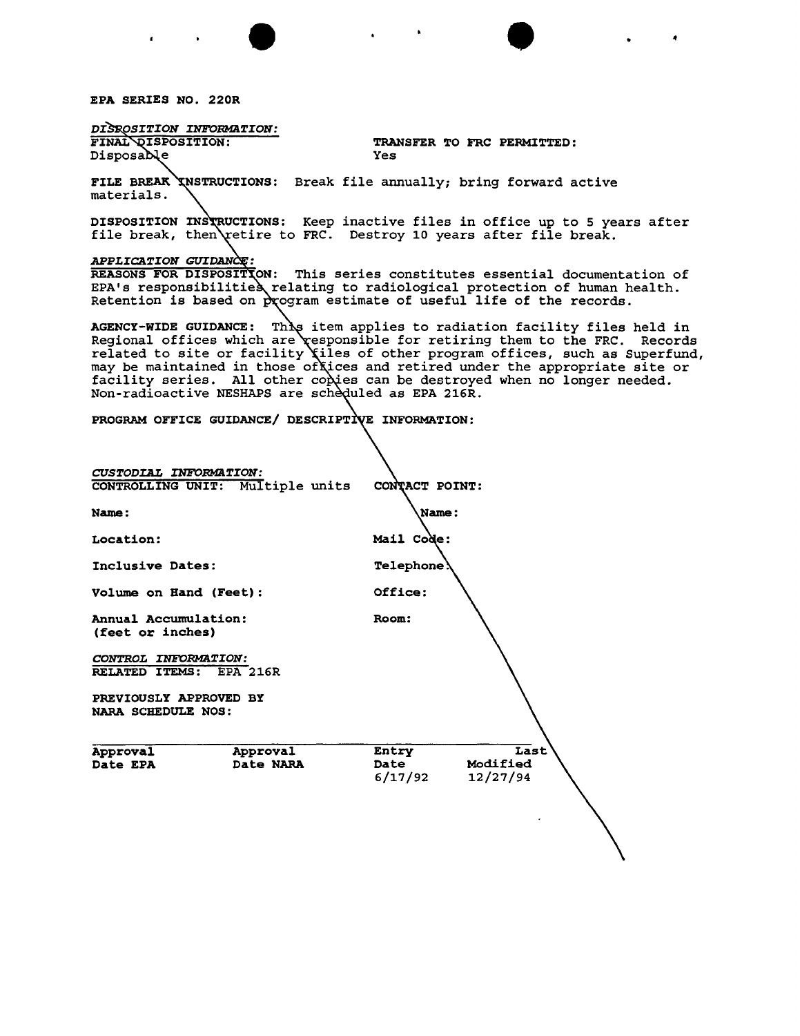EPA SERIES NO. 220R

DISROSITION INFORMATION: FINAL DISPOSITION: TRANSFER TO FRC PERMITTED: Disposable Yes FILE BREAK INSTRUCTIONS: Break file annually; bring forward active materials. DISPOSITION INSTRUCTIONS: Keep inactive files in office up to 5 years after file break, then $\operatorname{\tt v}$ etire to FRC. Destroy 10 years after file break. *APPLICATION* GUIDAN REASONS FOR DISPOSITION: This series constitutes essential documentation of EPA's responsibilitie§ relating to radiological protection of human health. Retention is based on  $\alpha$  program estimate of useful life of the records. AGENCY-WIDE GUIDANCE: This item applies to radiation facility files held in Regional offices which are responsible for retiring them to the FRC. Records related to site or facility  $\chi$ iles of other program offices, such as Superfund, may be maintained in those offices and retired under the appropriate site or facility series. All other co $\grave{\chi}$ ies can be destroyed when no longer needed. Non-radioactive NESHAPS are scheduled as EPA 216R. PROGRAM OFFICE GUIDANCE/ DESCRIPTIVE INFORMATION: *CUSTODIAL INFORMATION:* CONTROLLING UNIT: Multiple units CONTACT POINT: Name: Name: Location: Mail Code: Inclusive Dates: Telephone Volume on Hand (Feet): 0ffice: Annual Accumulation: Room: (feet or inches) *CONTROL INFORMATION:* RELATED ITEMS: EPA 216R PREVIOUSLY APPROVED BY NARA SCHEDULE NOS: Approval Approval Entry Last<br>Date EPA Date NARA Date Modified Date EPA Date NARA Date  $6/17/92$ 6/17/92 12/27/94

 $\bullet$   $\bullet$   $\bullet$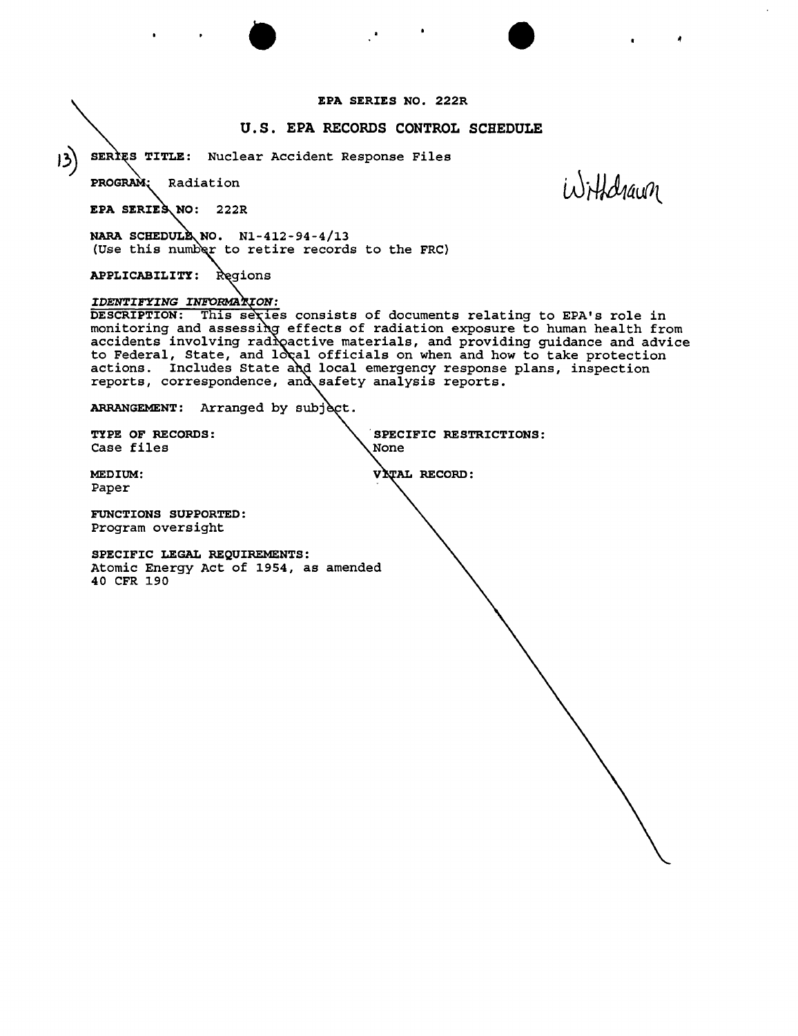$\bullet$   $\bullet$   $\bullet$   $\bullet$ EPA SERIES NO. 222R U.S. EPA RECORDS CONTROL SCHEDULE J~) SER <sup>S</sup> TITLE: Nuclear Accident Response Files **PROGRAM** Radiation *LAJ+Ad14uM* EPA SERIES NO: 222R NARA SCHEDULE NO.  $N1-412-94-4/13$ (Use this number to retire records to the FRC) APPLICABILITY: *IDENTIFYING* INFORMA DESCRIPTION: This sexies consists of documents relating to EPA's role in monitoring and assessing effects of radiation exposure to human health from accidents involving rad $\lambda$  active materials, and providing guidance and advic $\epsilon$ to Federal, State, and  $1$ o $\chi$ al officials on when and how to take protectio actions. Includes State and local emergency response plans, inspection reports, correspondence, and safety analysis reports. ARRANGEMENT: Arranged by subject. TYPE OF RECORDS: SPECIFIC RESTRICTIONS: Case files MEDIUM: VITAL RECORD: Paper FUNCTIONS SUPPORTED: Program oversight SPECIFIC LEGAL REQUIREMENTS: Atomic Energy Act of 1954, as amended 40 CFR 190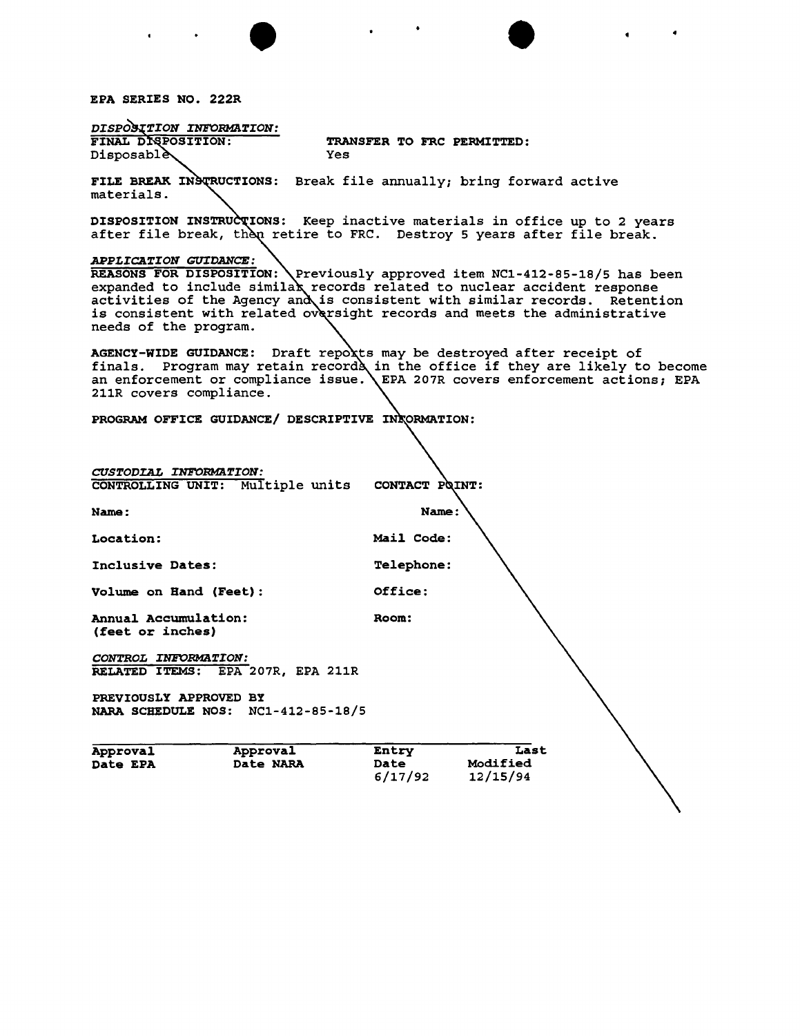EPA SERIES NO. 222R

 $\mathbf{r} = \left\{ \begin{array}{ll} 0 & \mathbf{r} \in \mathbb{R}^n, \ \mathbf{r} \in \mathbb{R}^n, \ \mathbf{r} \in \mathbb{R}^n, \ \mathbf{r} \in \mathbb{R}^n, \ \mathbf{r} \in \mathbb{R}^n, \ \mathbf{r} \in \mathbb{R}^n, \ \mathbf{r} \in \mathbb{R}^n, \ \mathbf{r} \in \mathbb{R}^n, \ \mathbf{r} \in \mathbb{R}^n, \ \mathbf{r} \in \mathbb{R}^n, \ \mathbf{r} \in \mathbb{R}^n, \ \$ 

| DISPOSITION INFORMATION:                                                                                                  |                                                                                                                                                                                                                                                   |
|---------------------------------------------------------------------------------------------------------------------------|---------------------------------------------------------------------------------------------------------------------------------------------------------------------------------------------------------------------------------------------------|
| FINAL DISPOSITION:<br><b>Disposablè\</b><br>Yes                                                                           | TRANSFER TO FRC PERMITTED:                                                                                                                                                                                                                        |
|                                                                                                                           |                                                                                                                                                                                                                                                   |
| FILE BREAK INSTRUCTIONS: Break file annually; bring forward active<br>materials.                                          |                                                                                                                                                                                                                                                   |
|                                                                                                                           | DISPOSITION INSTRUCTIONS: Keep inactive materials in office up to 2 years<br>after file break, then retire to FRC. Destroy 5 years after file break.                                                                                              |
| <b>APPLICATION GUIDANCE:</b><br>activities of the Agency and is consistent with similar records.<br>needs of the program. | REASONS FOR DISPOSITION: \Previously approved item NC1-412-85-18/5 has been<br>expanded to include similax records related to nuclear accident response<br>Retention<br>is consistent with related oversight records and meets the administrative |
| AGENCY-WIDE GUIDANCE: Draft repoxts may be destroyed after receipt of<br>211R covers compliance.                          | finals. Program may retain records in the office if they are likely to become<br>an enforcement or compliance issue. \EPA 207R covers enforcement actions; EPA                                                                                    |
| PROGRAM OFFICE GUIDANCE/ DESCRIPTIVE INCORMATION:                                                                         |                                                                                                                                                                                                                                                   |
|                                                                                                                           |                                                                                                                                                                                                                                                   |
| CUSTODIAL INFORMATION:<br>CONTROLLING UNIT: Multiple units CONTACT POINT:                                                 |                                                                                                                                                                                                                                                   |
| <b>Name:</b>                                                                                                              | <b>Name:</b>                                                                                                                                                                                                                                      |
| <b>Location:</b>                                                                                                          | Mail Code:                                                                                                                                                                                                                                        |
| Inclusive Dates:                                                                                                          | <b>Telephone:</b>                                                                                                                                                                                                                                 |
| Volume on Hand (Feet):                                                                                                    | Office:                                                                                                                                                                                                                                           |
| <b>Annual Accumulation:</b><br>(feet or inches)                                                                           | Room:                                                                                                                                                                                                                                             |
| CONTROL INFORMATION:<br>RELATED ITEMS: EPA 207R, EPA 211R                                                                 |                                                                                                                                                                                                                                                   |
| PREVIOUSLY APPROVED BY<br>$NC1 - 412 - 85 - 18/5$<br>NARA SCHEDULE NOS:                                                   |                                                                                                                                                                                                                                                   |
| Approval<br>Approval<br>Date EPA<br><b>Date NARA</b>                                                                      | Last<br>Entry<br>Modified<br>Date<br>6/17/92<br>12/15/94                                                                                                                                                                                          |

 $\bullet$   $\bullet$   $\bullet$ 

 $\blacksquare$ 

 $\bullet$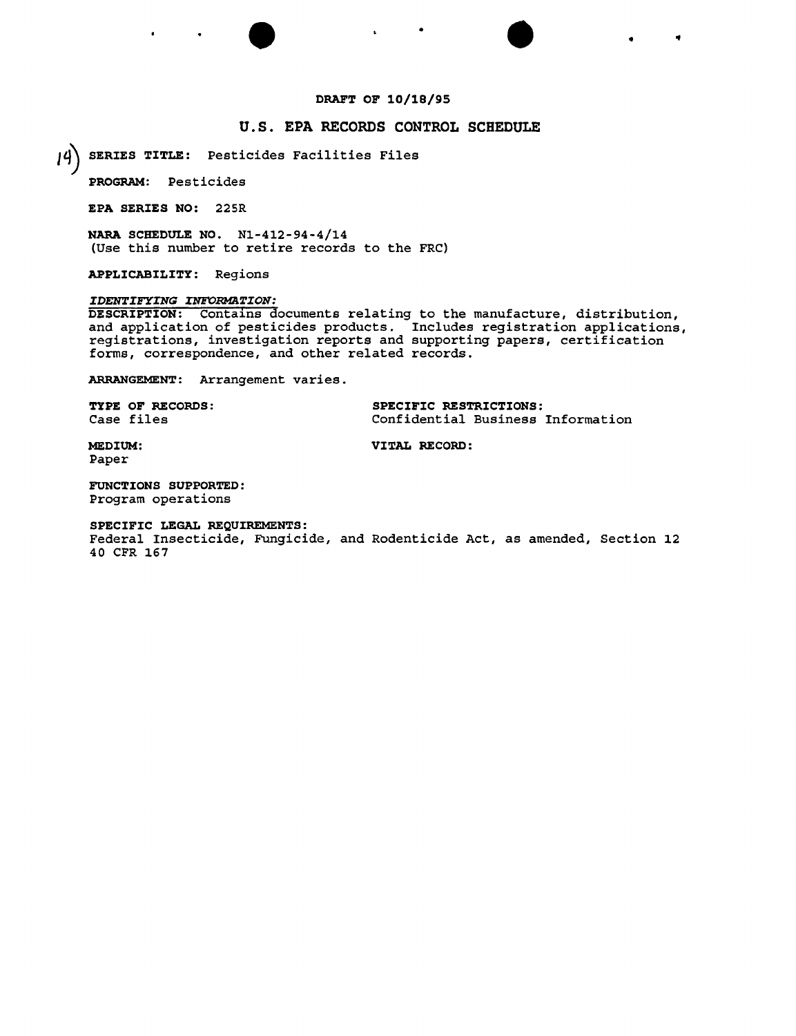# DRAFT OF 10/18/95

 $\bullet$   $\bullet$   $\bullet$   $\bullet$   $\bullet$ 

 $\blacksquare$ 

# U.S. EPA RECORDS CONTROL SCHEDULE

*Iq)* SERIES TITLE: Pesticides Facilities Files

PROGRAM: Pesticides

EPA SERIES NO: 225R

NARA SCHEDULE NO. Nl-412-94-4/14 (Use this number to retire records to the FRC)

APPLICABILITY: Regions

### *IDENTIFYING INFORMATION:*

DESCRIPTION: Contains documents relating to the manufacture, distribution, and application of pesticides products. Includes registration applications, registrations, investigation reports and supporting papers, certification forms, correspondence, and other related records.

ARRANGEMENT: Arrangement varies.

TYPE OF RECORDS: SPECIFIC RESTRICTIONS: Case files Confidential Business Information

MEDIUM: VITAL RECORD: Paper

FUNCTIONS SUPPORTED: Program operations

SPECIFIC LEGAL REQUIREMENTS:

Federal Insecticide, Fungicide, and Rodenticide Act, as amended, Section 12 40 CFR 167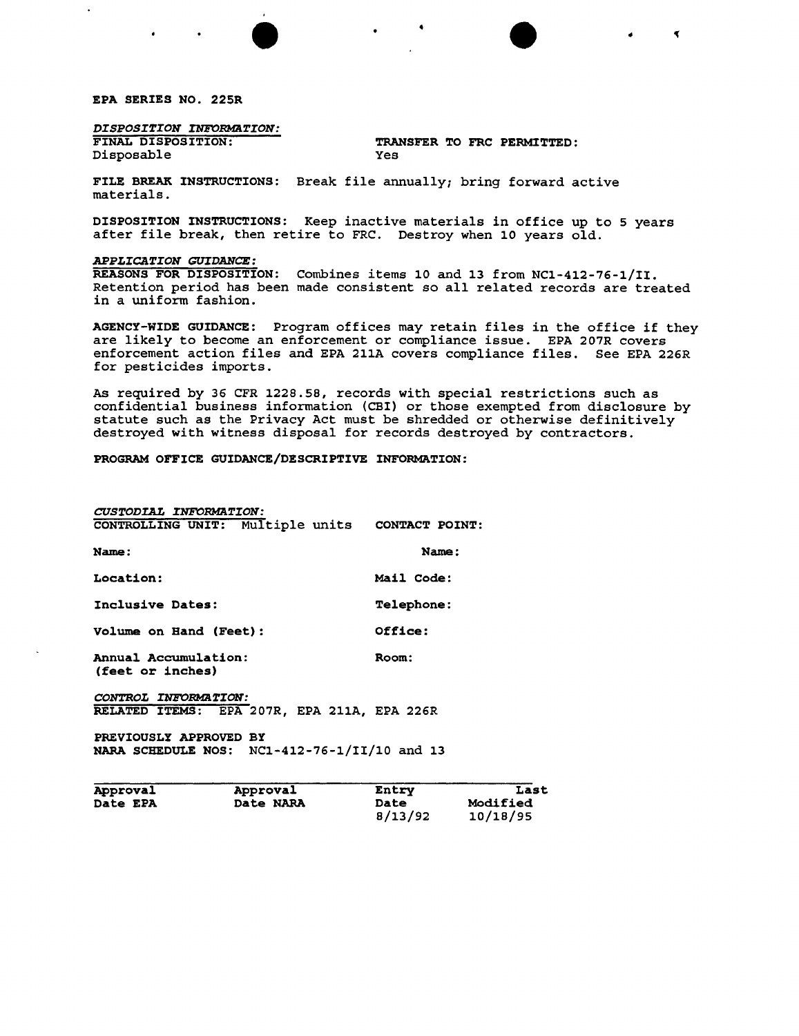### EPA SERIES NO. 225R

 $\ddot{\phantom{a}}$ 

*DISPOSITION INFORMATION:*<br>FINAL DISPOSITION: Disposable

TRANSFER TO FRC PERMITTED:<br>Yes

 $\blacktriangleleft$ 

• • ..

FILE BREAK INSTRUCTIONS: Break file annually; bring forward active materials.

DISPOSITION INSTRUCTIONS: Keep inactive materials in office up to 5 years after file break, then retire to FRC. Destroy when 10 years old.

### *APPLICATION GUIDANCE:*

REASONS FOR DISPOSITION: Combines items 10 and 13 from NCl-412-76-1/II. Retention period has been made consistent so all related records are treated in a uniform fashion.

AGENCY-WIDE GUIDANCE: Program offices may retain files in the office if they are likely to become an enforcement or compliance issue. EPA 207R covers enforcement action files and EPA 211A covers compliance files. See EPA 226R for pesticides imports.

As required by 36 CFR 1228.58, records with special restrictions such as confidential business information (CBI) or those exempted from disclosure by statute such as the Privacy Act must be shredded or otherwise definitively destroyed with witness disposal for records destroyed by contractors.

# PROGRAM OFFICE GUIDANCE/DESCRIPTIVE INFORMATION:

| <b>CUSTODIAL INFORMATION:</b><br>CONTROLLING UNIT: Multiple units | CONTACT POINT:    |
|-------------------------------------------------------------------|-------------------|
| Name:                                                             | Name:             |
| Location:                                                         | Mail Code:        |
| Inclusive Dates:                                                  | <b>Telephone:</b> |
| Volume on Hand (Feet):                                            | Office:           |
| Annual Accumulation:<br>(feet or inches)                          | <b>Room:</b>      |

CONTROL INFORMATION: RELATED ITEMS: EPA 207R, EPA 211A, EPA 226R

PREVIOUSLY APPROVED BY NARA SCHEDULE NOS: NCl-412-76-1/II/10 and 13

| Approval        | Approval  | Entry   | Last            |
|-----------------|-----------|---------|-----------------|
| <b>Date EPA</b> | Date NARA | Date    | <b>Modified</b> |
|                 |           | 8/13/92 | 10/18/95        |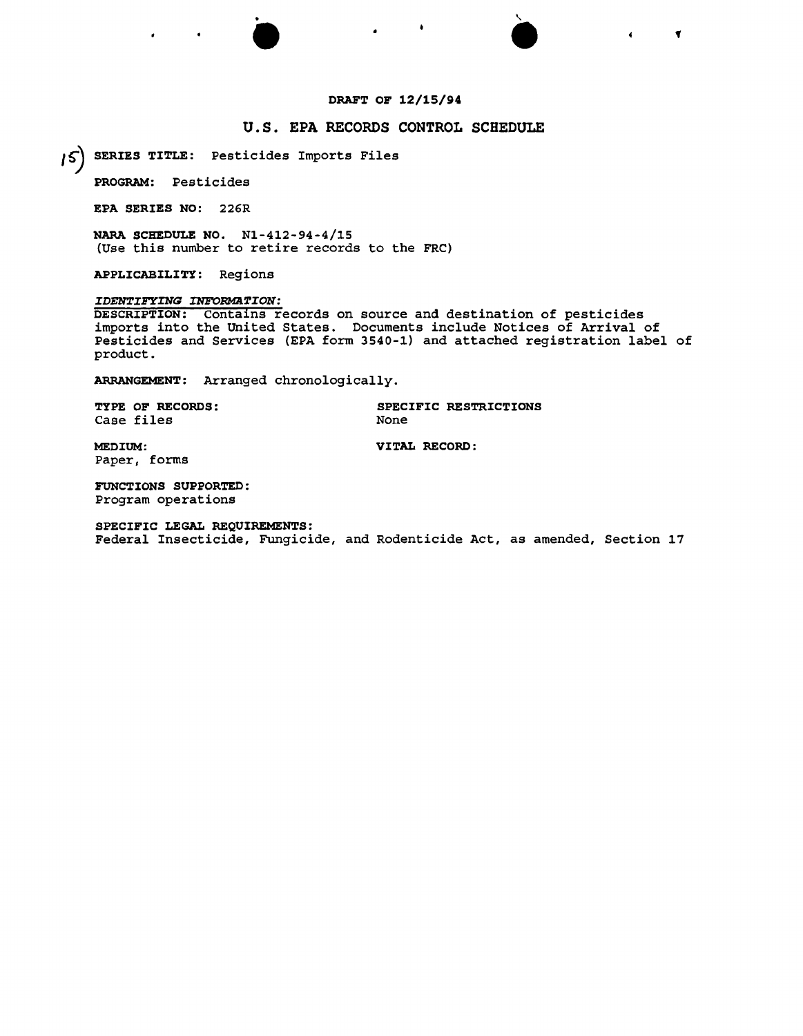# DRAFT OF 12/15/94

# U.S. EPA RECORDS CONTROL SCHEDULE

SERIES TITLE: Pesticides Imports Files *I~*

.

• •

PROGRAM: Pesticides

EPA SERIES NO: 226R

NARA SCHEDULE NO. Nl-412-94-4/15 (Use this number to retire records to the FRC)

APPLICABILITY: Regions

*IDENTIFYING INFORMATION:* 

DESCRIPTION: Contains records on source and destination of pesticides imports into the united States. Documents include Notices of Arrival of Pesticides and Services (EPA form 3540-1) and attached registration label of product.

ARRANGEMENT: Arranged chronologically.

Case files

TYPE OF RECORDS: SPECIFIC RESTRICTIONS None

 $\blacktriangledown$ 

MEDIUM: VITAL RECORD: Paper, forms

FUNCTIONS SUPPORTED: Program operations

SPECIFIC LEGAL REQUIREMENTS: Federal Insecticide, Fungicide, and Rodenticide Act, as amended, Section 17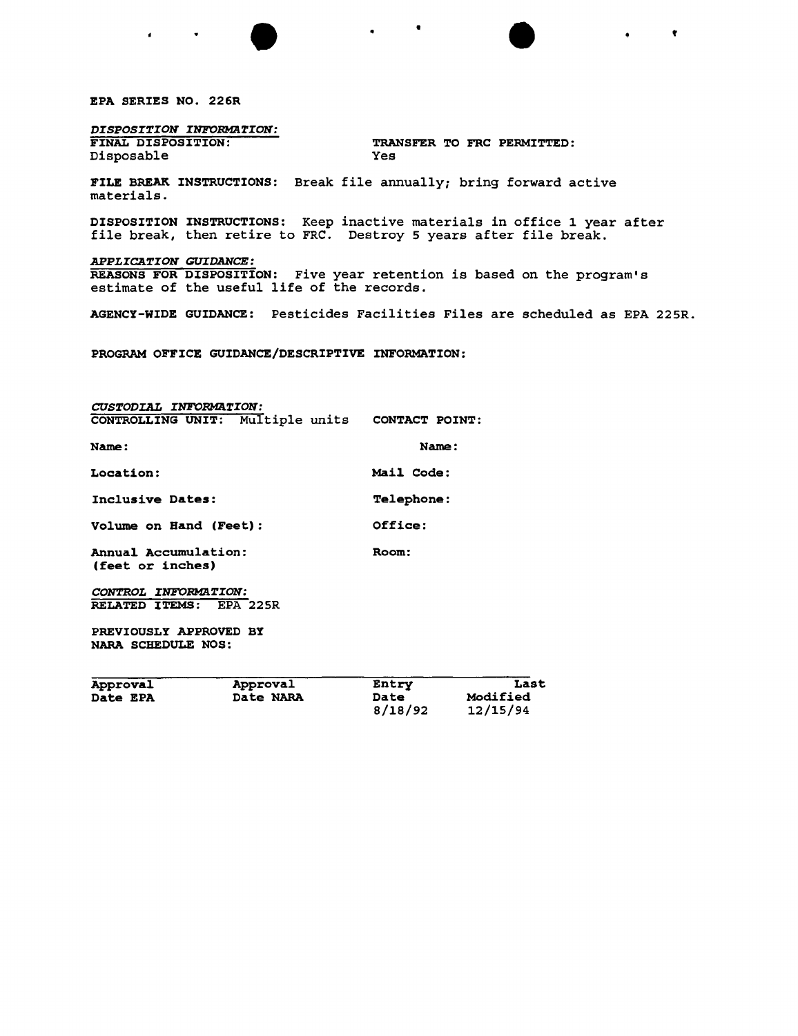EPA SERIES NO. 226R

*DISPOSITION INFORMaTION:*

TRANSFER TO FRC PERMITTED: Disposable Yes

FILE BREAK INSTRUCTIONS: Break file annually; bring forward active materials.

DISPOSITION INSTRUCTIONS: Keep inactive materials in office 1 year after file break, then retire to FRC. Destroy 5 years after file break.

 $\bullet$   $\bullet$   $\bullet$   $\bullet$   $\bullet$   $\bullet$   $\bullet$ 

*APPLICATION GUIDANCE:* REASONS FOR DISPOSITION: Five year retention is based on the program's estimate of the useful life of the records.

AGENCY-WIDE GUIDANCE: Pesticides Facilities Files are scheduled as EPA 225R.

PROGRAM OFFICE GUIDANCE/DESCRIPTIVE INFORMATION:

*CUSTODIAL INFORMaTION:* CONTROLLING UNIT: Multiple units CONTACT POINT: Name: Name: Location: Mail Code: Inclusive Dates: Telephone: Volume on Hand (Feet): Office: Annual Accumulation: Room: (feet or inches) *CONTROL INFORMaTION:* RELATED ITEMS: EPA 225R PREVIOUSLY APPROVED BY NARA SCHEDULE NOS: **Contract Contract** 

| Approval        | Approval  | Entry           | Last                        |
|-----------------|-----------|-----------------|-----------------------------|
| <b>Date EPA</b> | Date NARA | Date<br>8/18/92 | <b>Modified</b><br>12/15/94 |
|                 |           |                 |                             |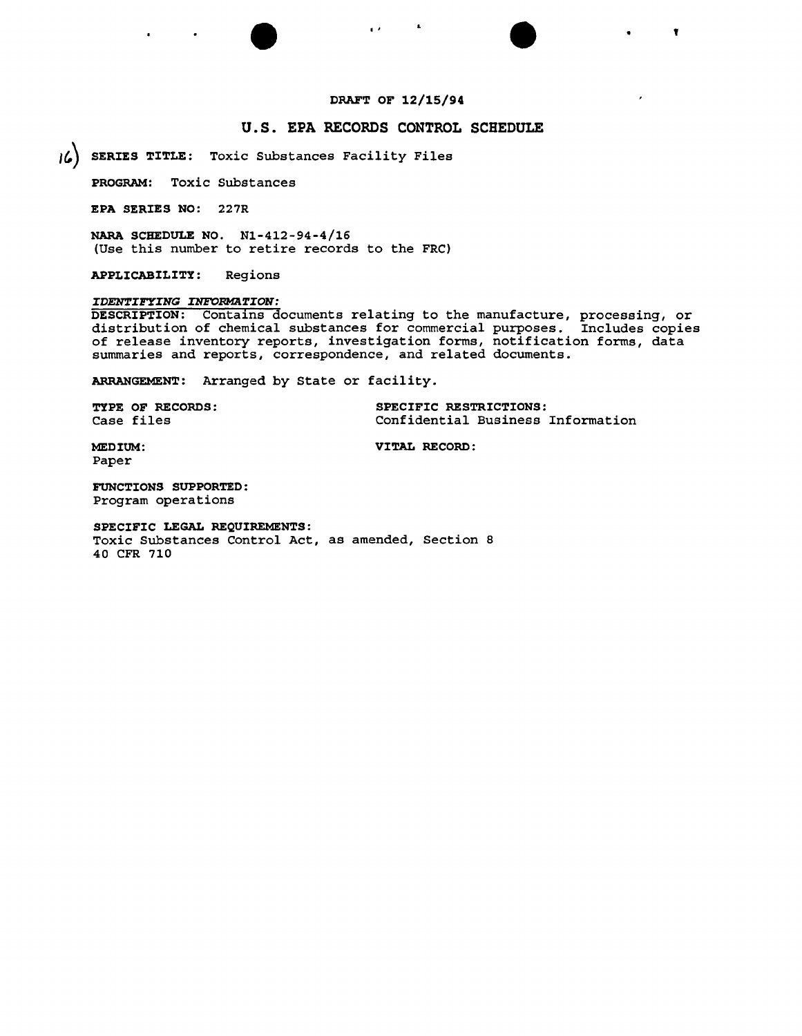# DRAFT OF 12/15/94

 $\bullet$  , and the set of  $\bullet$  , and  $\bullet$ 

# u.s. EPA RECORDS CONTROL SCHEDULE

*J*<sup>6</sup> SERIES TITLE: Toxic Substances Facility Files

PROGRAM: Toxic Substances

EPA SERIES NO: 227R

NARA SCHEDULE NO. N1-412-94-4/16 (Use this number to retire records to the FRC)

APPLICABILITY: Regions

### *IDENTIFYING INFORMATION:*

DESCRIPTION: Contains documents relating to the manufacture, processing, or distribution of chemical substances for commercial purposes. Includes copies of release inventory reports, investigation forms, notification forms, data summaries and reports, correspondence, and related documents.

ARRANGEMENT: Arranged by State or facility.

| <b>TYPE OF RECORDS:</b> | SPECIFIC RESTRICTIONS:            |
|-------------------------|-----------------------------------|
| <b>Case files</b>       | Confidential Business Information |

MEDIUM: VITAL RECORD:

Paper

FUNCTIONS SUPPORTED: Program operations

SPECIFIC LEGAL REQUIREMENTS: Toxic Substances Control Act, as amended, Section 8 40 CFR 710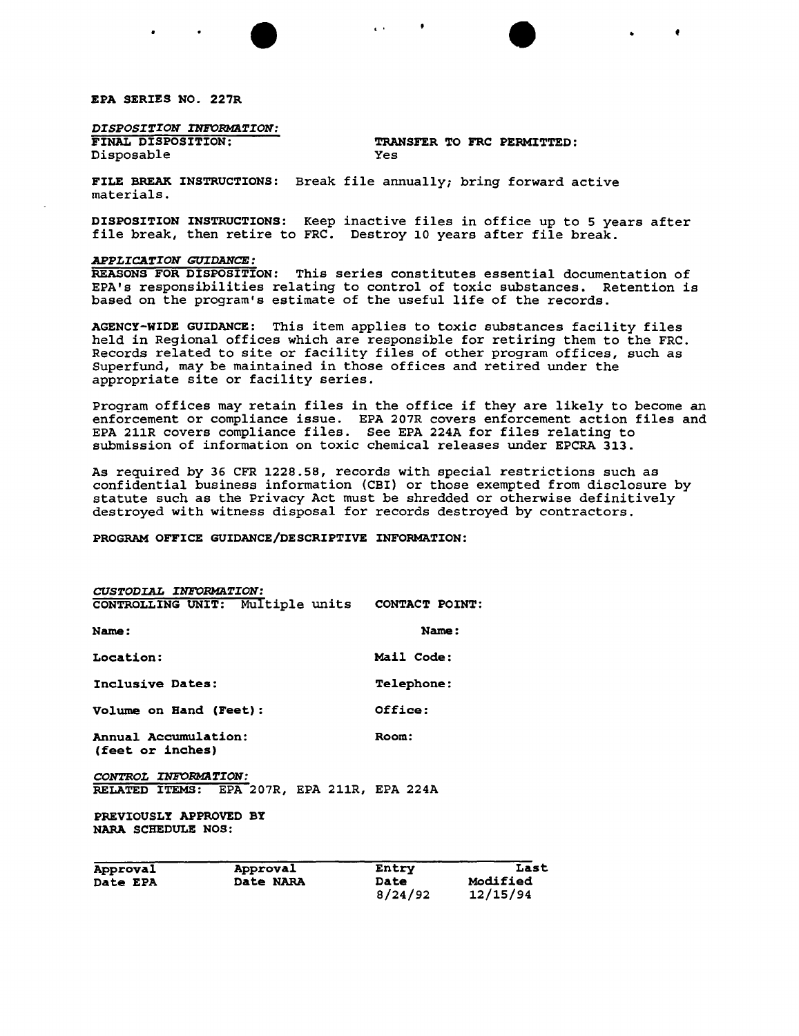EPA SERIES NO. 227R

*DISPOSITION INFORMaTION:* Disposable

TRANSFER TO FRC PERMITTED:<br>Yes

•

FILE BREAK INSTRUCTIONS: Break file annually; bring forward active materials.

DISPOSITION INSTRUCTIONS: Keep inactive files in office up to 5 years after file break, then retire to FRC. Destroy 10 years after file break.

 $\bullet$  .  $\bullet$  .  $\bullet$ 

### *APPLICATION GUIDANCE:*

REASONS FOR DISPOSITION: This series constitutes essential documentation of EPA's responsibilities relating to control of toxic substances. Retention is based on the program's estimate of the useful life of the records.

AGENCY-WIDE GUIDANCE: This item applies to toxic substances facility files held in Regional offices which are responsible for retiring them to the FRC. Records related to site or facility files of other program offices, such as Superfund, may be maintained in those offices and retired under the appropriate site or facility series.

Program offices may retain files in the office if they are likely to become an enforcement or compliance issue. EPA 207R covers enforcement action files and EPA 211R covers compliance files. See EPA 224A for files relating to submission of information on toxic chemical releases under EPCRA 313.

As required by 36 CFR 1228.58, records with special restrictions such as confidential business information (CBI) or those exempted from disclosure by statute such as the privacy Act must be shredded or otherwise definitively destroyed with witness disposal for records destroyed by contractors.

 $8/24/92$ 

PROGRAM OFFICE GUIDANCE/DESCRIPTIVE INFORMATION:

| CUSTODIAL INFORMATION:                                             | CONTROLLING UNIT: Multiple units CONTACT POINT: |                      |                         |  |
|--------------------------------------------------------------------|-------------------------------------------------|----------------------|-------------------------|--|
|                                                                    |                                                 |                      |                         |  |
| Name:                                                              |                                                 | Name:                |                         |  |
| Location:                                                          |                                                 | Mail Code:           |                         |  |
| Inclusive Dates:                                                   |                                                 | <b>Telephone:</b>    |                         |  |
| Volume on Hand (Feet):<br>Annual Accumulation:<br>(feet or inches) |                                                 | Office:              | Room:                   |  |
|                                                                    |                                                 |                      |                         |  |
| CONTROL INFORMATION:                                               |                                                 |                      |                         |  |
|                                                                    | RELATED ITEMS: EPA 207R, EPA 211R, EPA 224A     |                      |                         |  |
| PREVIOUSLY APPROVED BY<br><b>NARA SCHEDULE NOS:</b>                |                                                 |                      |                         |  |
| Approval<br>Date EPA                                               | Approval<br>Date NARA                           | Entry<br><b>Date</b> | Last<br><b>Modified</b> |  |
|                                                                    |                                                 | 8/24/92              | 12/15/94                |  |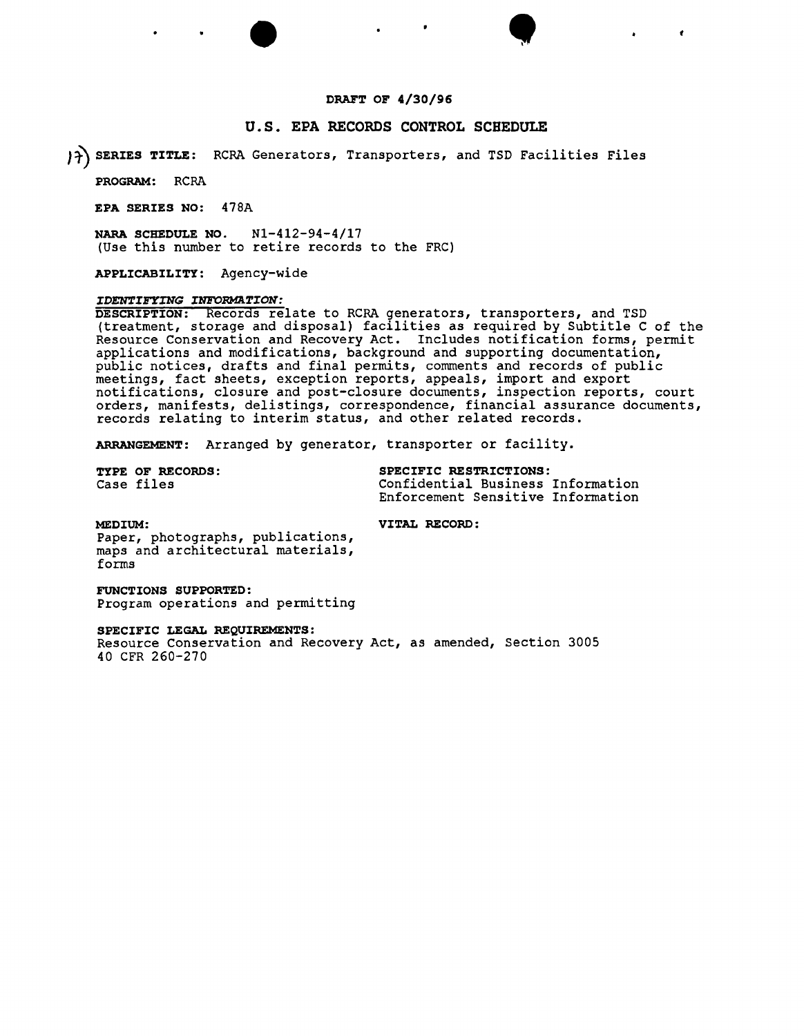### DRAFT OF 4/30/96

# U.S. EPA RECORDS CONTROL SCHEDULE

 $\bullet$   $\bullet$   $\bullet$   $\bullet$ 

}~ SERIES TITLE: RCRA Generators, Transporters, and TSD Facilities Files

PROGRAM: RCRA

EPA SERIES NO: 478A

NARA SCHEDULE NO. Nl-412-94-4/17 (Use this number to retire records to the FRC)

APPLICABILITY: Agency-wide

### *IDENTIFYING INFORMATION:*

DESCRIPTION: Records relate to RCRA generators, transporters, and TSD (treatment, storage and disposal) facilities as required by Subtitle C of the Resource Conservation and Recovery Act. Includes notification forms, permit applications and modifications, background and supporting documentation, public notices, drafts and final permits, comments and records of public meetings, fact sheets, exception reports, appeals, import and export notifications, closure and post-closure documents, inspection reports, court orders, manifests, delistings, correspondence, financial assurance documents, records relating to interim status, and other related records.

ARRANGEMENT: Arranged by generator, transporter or facility.

TYPE OF RECORDS: SPECIFIC RESTRICTIONS Case files Confidential Business Information Enforcement Sensitive Information

MEDIUM: VITAL RECORD:

Paper, photographs, publications, maps and architectural materials, forms

FUNCTIONS SUPPORTED: Program operations and permitting

### SPECIFIC LEGAL REQUIREMENTS:

Resource Conservation and Recovery Act, as amended, Section 3005 40 CFR 260-270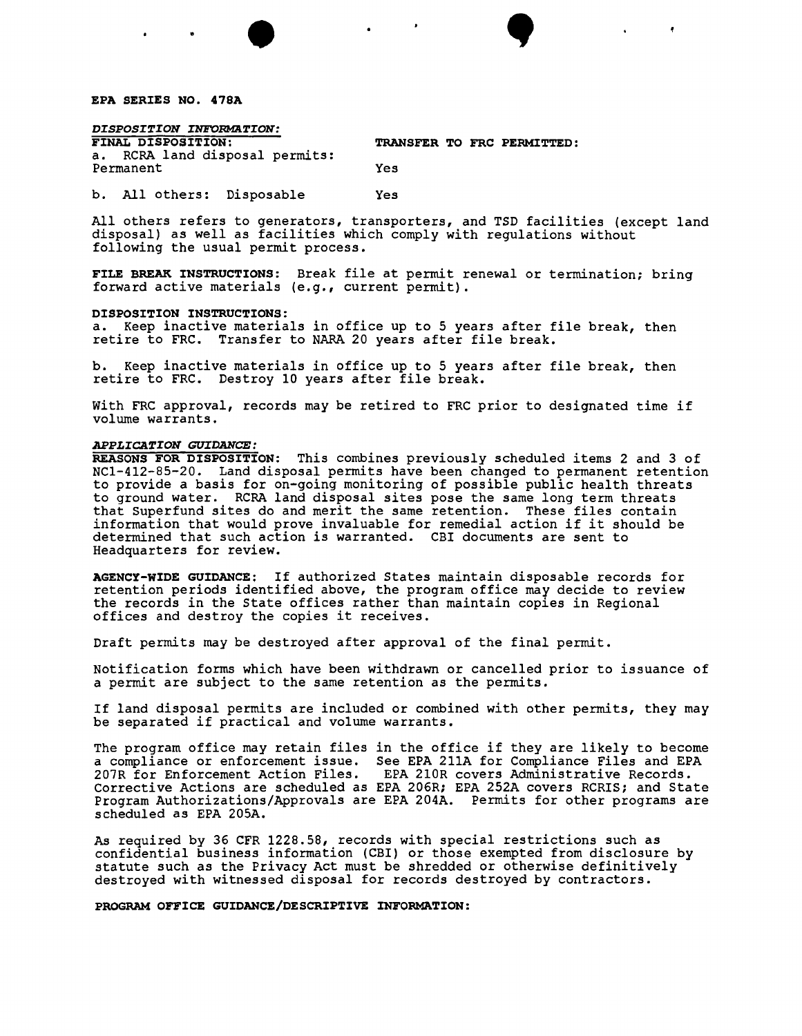EPA SERIES NO. 47SA

*DISPOSITION INFORMATION:*<br>FINAL DISPOSITION: a. RCRA land disposal permits: Permanent Yes

TRANSFER TO FRC PERMITTED:

 $\bullet$   $\bullet$   $\bullet$   $\bullet$ 

b. All others: Disposable Yes

All others refers to generators, transporters, and TSD facilities (except land disposal) as well as facilities which comply with regulations without following the usual permit process.

FILE BREAK INSTRUCTIONS: Break file at permit renewal or termination; bring forward active materials (e.g., current permit).

### DISPOSITION INSTRUCTIONS:

a. Keep inactive materials in office up to 5 years after file break, then retire to FRC. Transfer to NARA 20 years after file break.

b. Keep inactive materials in office up to 5 years after file break, then retire to FRC. Destroy 10 years after file break.

With FRC approval, records may be retired to FRC prior to designated time if volume warrants.

### *APPLICATION GUIDANCE:*

REASONS FOR DISPOSITION: This combines previously scheduled items 2 and 3 of NCl-4l2-85-20. Land disposal permits have been changed to permanent retention to provide a basis for on-going monitoring of possible public health threats to ground water. RCRA land disposal sites pose the same long term threats that Superfund sites do and merit the same retention. These files contain information that would prove invaluable for remedial action if it should be determined that such action is warranted. CBI documents are sent to Headquarters for review.

AGENCY-WIDE GUIDANCE: If authorized States maintain disposable records for retention periods identified above, the program office may decide to review the records in the State offices rather than maintain copies in Regional offices and destroy the copies it receives.

Draft permits may be destroyed after approval of the final permit.

Notification forms which have been withdrawn or cancelled prior to issuance of a permit are subject to the same retention as the permits.

If land disposal permits are included or combined with other permits, they may be separated if practical and volume warrants.

The program office may retain files in the office if they are likely to become a compliance or enforcement issue. See EPA 211A for Compliance Files and EPA<br>207R for Enforcement Action Files. EPA 210R covers Administrative Records. 207R for Enforcement Action Files. EPA 2l0R covers Administrative Records. Corrective Actions are scheduled as EPA 206R; EPA 252A covers RCRIS; and State Program Authorizations/Approvals are EPA 204A. Permits for other programs are scheduled as EPA 205A.

As required by 36 CFR 1228.58, records with special restrictions such as confidential business information (CBI) or those exempted from disclosure by statute such as the Privacy Act must be shredded or otherwise definitively destroyed with witnessed disposal for records destroyed by contractors.

### PROGRAM OFFICE GUIDANCE/DESCRIPTIVE INFORMATION: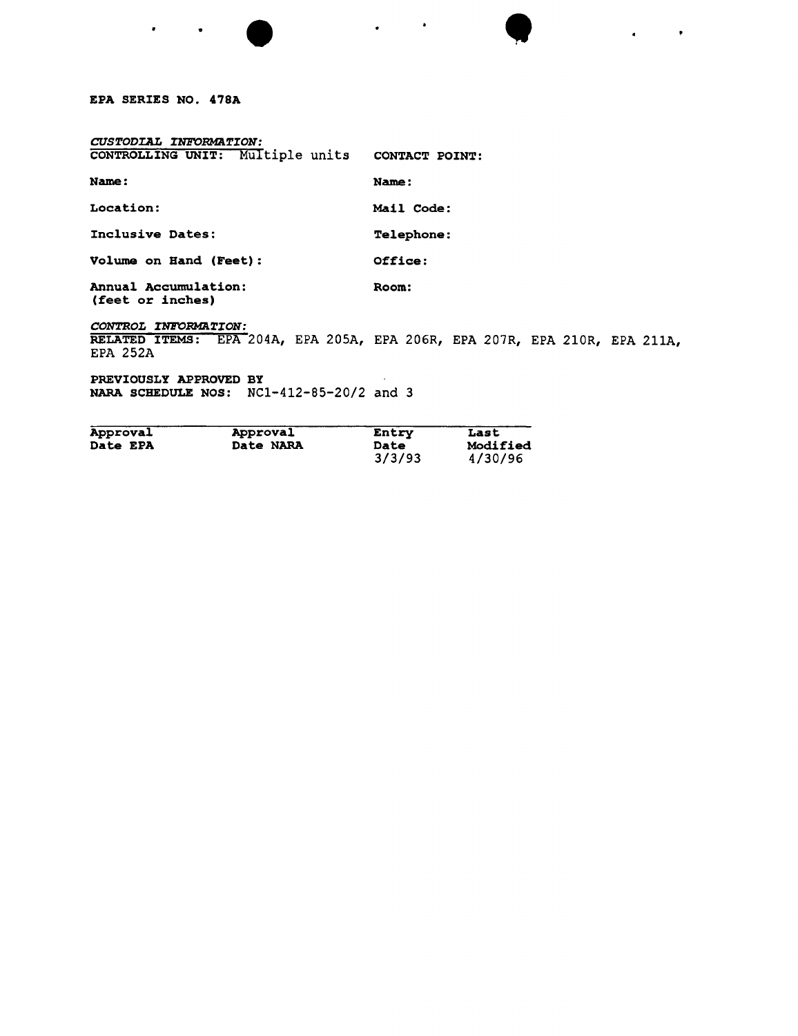# EPA SERIES NO. 47SA

 $\bullet$ 

 $\bullet$ 

| CUSTODIAL INFORMATION:                   |                       |
|------------------------------------------|-----------------------|
| CONTROLLING UNIT: Multiple units         | <b>CONTACT POINT:</b> |
| Name:                                    | Name:                 |
| Location:                                | Mail Code:            |
| Inclusive Dates:                         | <b>Telephone:</b>     |
| Volume on Hand (Feet):                   | Office:               |
| Annual Accumulation:<br>(feet or inches) | Room:                 |

*CONTROL INFORMATION:*

RELATED ITEMS: EPA 204A, EPA 205A, EPA 206R, EPA 207R, EPA 210R, EPA 211A, EPA 252A

 $\bullet$   $\bullet$   $\bullet$   $\bullet$   $\bullet$   $\bullet$ 

 $\mathbf{z} = \mathbf{z} + \mathbf{z}$ 

PREVIOUSLY APPROVED BY NARA SCHEDULE NOS: NCl-412-85-20/2 and 3

| Approval        | Approval  | Entry  | Last            |
|-----------------|-----------|--------|-----------------|
| <b>Date EPA</b> | Date NARA | Date   | <b>Modified</b> |
|                 |           | 3/3/93 | 4/30/96         |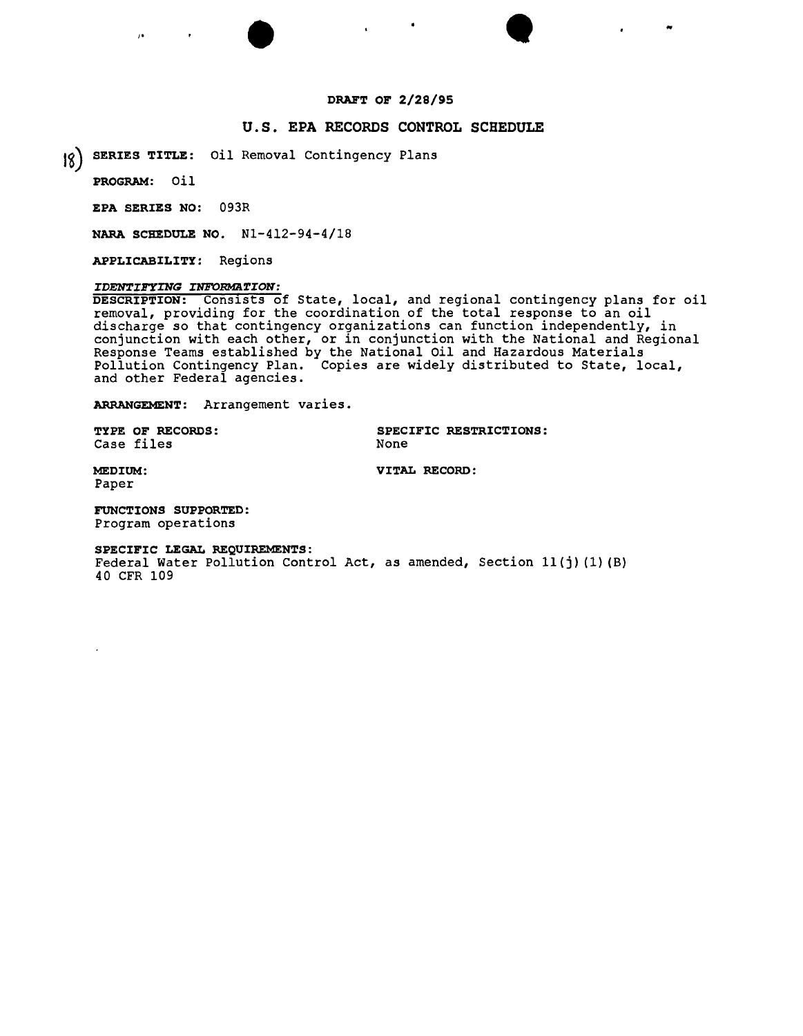# **DRAFT OF 2/28/95**

), where  $\mathcal{L}$  is the contract of  $\mathcal{L}$  is the contract of  $\mathcal{L}$  , we have  $\mathcal{L}$ 

# **U.S. EPA RECORDS CONTROL SCHEDULE**

I~)**SERIES TITLE:** *oil* Removal Contingency Plans

**PROGRAM:** *oil*

**EPA SERIES NO:** 093R

**NARA SCHEDULE NO.** Nl-412-94-4/18

**APPLICABILITY:** Regions

# *IDENTIFYING INFORMATION:*

**DESCRIPTION:** Cons1sts of State, local, and regional contingency plans for *oil* removal, providing for the coordination of the total response to an *oil* discharge so that contingency organizations can function independently, in conjunction with each other, or *in* conjunction with the National and Regional Response Teams established by the National *oil* and Hazardous Materials Pollution Contingency Plan. Copies are widely distributed to State, local, and other Federal agencies.

**ARRANGEMENT:** Arrangement varies.

Case files

**TYPE OF RECORDS:**<br>
Case files<br>
None<br>
None<br>
None

• • ..

**MEDIUM: VITAL RECORD:** Paper

**FUNCTIONS SUPPORTED:** Program operations

**SPECIFIC LEGAL REQUIREMENTS:**

Federal Water Pollution Control Act, as amended, Section 11(j)(1)(B) 40 CFR 109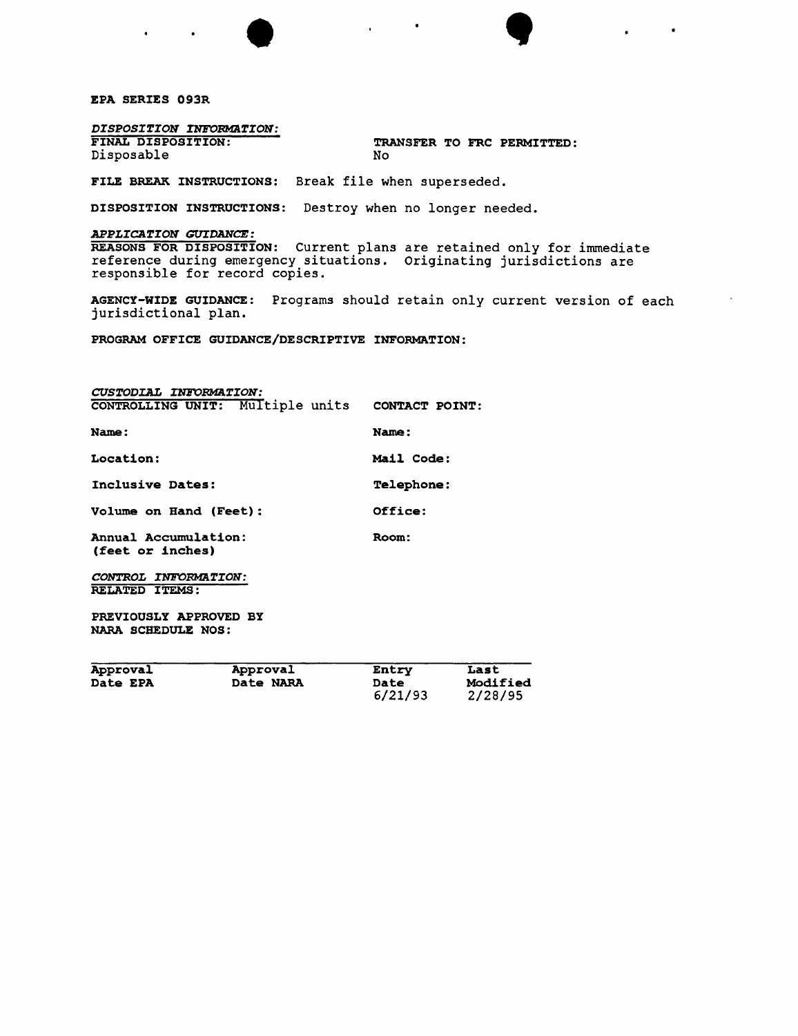EPA SERIES 093R

*DISPOSITION INFORMaTION:*

Disposable

TRANSFER TO FRC PERMITTED:<br>No

FILE BREAK INSTRUCTIONS: Break file when superseded.

DISPOSITION INSTRUCTIONS: Destroy when no longer needed.

# *APPLICATION GUIDANCE:*

REASONS FOR DISPOSITION: Current plans are retained only for immediate reference during emergency situations. Originating jurisdictions are responsible for record copies.

AGENCY-WIDE GUIDANCE: Programs should retain only current version of each jurisdictional plan.

 $\bullet$ ,  $\bullet$ ,  $\bullet$ 

PROGRAM OFFICE GUIDANCE/DESCRIPTIVE INFORMATION:

| <b>CUSTODIAL INFORMATION:</b><br>CONTROLLING UNIT: Multiple units | CONTACT POINT:    |
|-------------------------------------------------------------------|-------------------|
| Name:                                                             | Name:             |
| Location:                                                         | Mail Code:        |
| Inclusive Dates:                                                  | <b>Telephone:</b> |
| Volume on Hand (Feet):                                            | Office:           |
| Annual Accumulation:<br>(feet or inches)                          | Room:             |
| CONTROL INFORMATION:<br><b>RELATED ITEMS:</b>                     |                   |
| PREVIOUSLY APPROVED BY<br>NARA SCHEDULE NOS:                      |                   |

| Approval        | Approval         | Entry       | Last     |
|-----------------|------------------|-------------|----------|
| <b>Date EPA</b> | <b>Date NARA</b> | <b>Date</b> | Modified |
|                 |                  | 6/21/93     | 2/28/95  |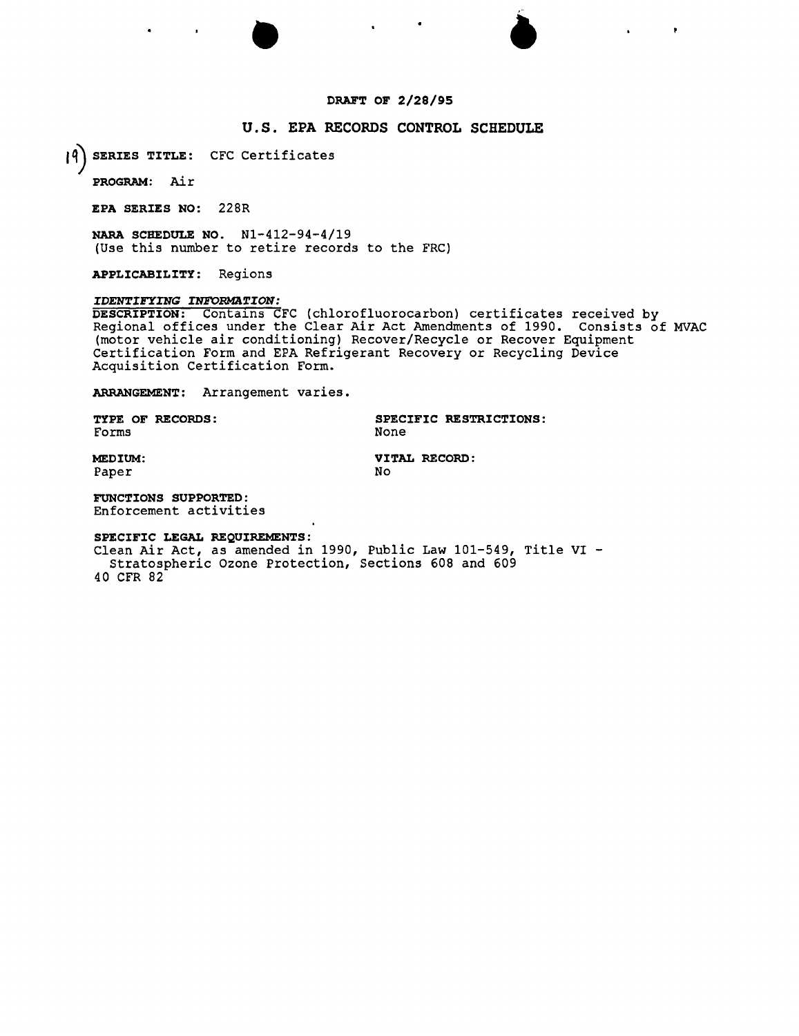## **DRAFT OF 2/28/95**

 $\bullet$ 

ł

# **u.s. EPA RECORDS CONTROL SCHEDULE**

**,q) SERIES TITLE:** CFC Certificates

**PROGRAM: Air**

**EPA SERIES NO:** 228R

**NARA SCHEDULE NO.** N1-412-94-4/19 (Use this number to retire records to the FRC)

**APPLICABILITY:** Regions

### *IDENTIFYING INFORMATION:*

**DESCRIPTION:** Contains CFC (chlorofluorocarbon) certificates received by Regional offices under the Clear *Air* Act Amendments of 1990. Consists of MVAC (motor vehicle air conditioning) Recover/Recycle or Recover Equipment Certification Form and EPA Refrigerant Recovery or Recycling Device Acquisition certification Form.

**ARRANGEMENT:** Arrangement varies.

Forms None

**TYPE OF RECORDS: SPECIFIC RESTRICTIONS:**

Paper

**MEDIUM: VITAL RECORD:**<br>Paper Mo

**FUNCTIONS SUPPORTED:** Enforcement activities

# **SPECIFIC LEGAL REQUIREMENTS:**

Clean *Air* Act, as amended in 1990, Public Law 101-549, Title VI - Stratospheric Ozone Protection, Sections 608 and 609 40 CFR 82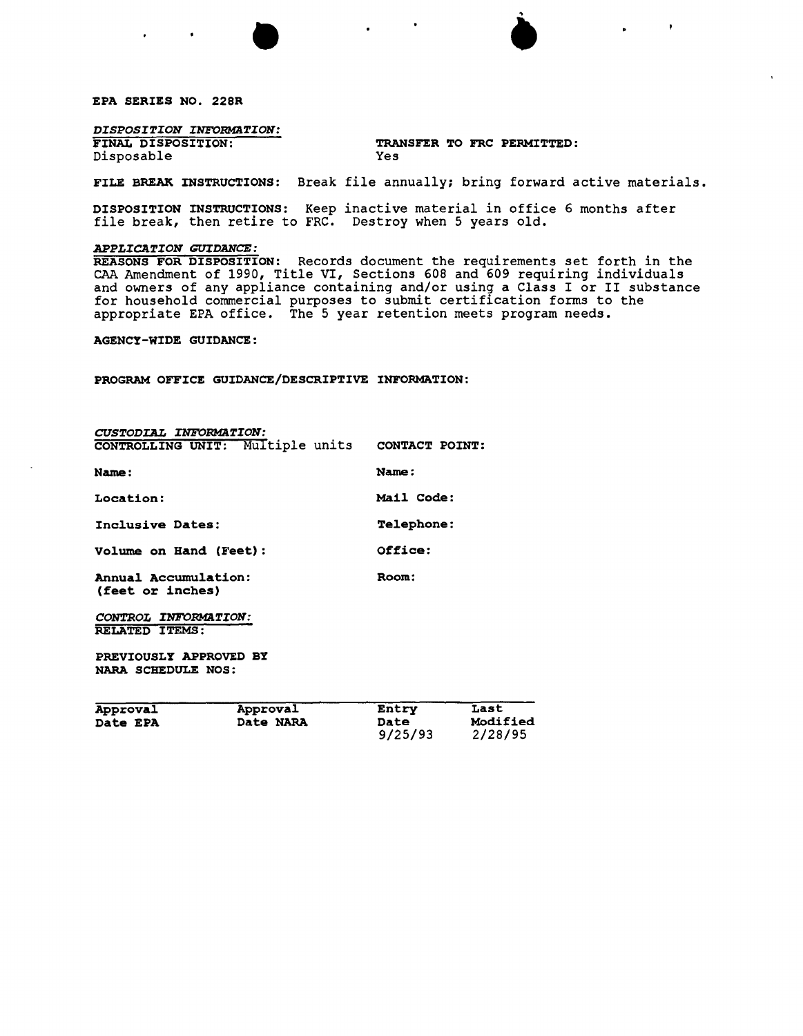EPA SERIES NO. 228R

# *DISPOSITION INFORMaTION:*

Disposable

# TRANSFER TO FRC PERMITTED:<br>Yes

 $\bullet$ 

9/25/93 2/28/95

FILE BREAK INSTRUCTIONS: Break file annually; bring forward active materials.

DISPOSITION INSTRUCTIONS: Keep inactive material in office 6 months after file break, then retire to FRC. Destroy when 5 years old.

### *APPLICATION GUIDANCE:*

REASONS FOR DISPOSITION: Records document the requirements set forth in the CAA Amendment of 1990, Title VI, Sections 608 and 609 requiring individuals and owners of any appliance containing and/or using a Class I or II SUbstance for household commercial purposes to submit certification forms to the appropriate EPA office. The 5 year retention meets program needs.

AGENCY-WIDE GUIDANCE:

PROGRAM OFFICE GUIDANCE/DESCRIPTIVE INFORMATION:

•

| Approval<br>Date EPA                         | Approval<br>Date NARA                           | <b>Entry</b><br><b>Date</b> | Last<br>Modifie |
|----------------------------------------------|-------------------------------------------------|-----------------------------|-----------------|
| PREVIOUSLY APPROVED BY<br>NARA SCHEDULE NOS: |                                                 |                             |                 |
| CONTROL INFORMATION:<br>RELATED ITEMS:       |                                                 |                             |                 |
| Annual Accumulation:<br>(feet or inches)     |                                                 | Room:                       |                 |
| Volume on Hand (Feet):                       |                                                 | Office:                     |                 |
| Inclusive Dates:                             |                                                 | <b>Telephone:</b>           |                 |
| Location:                                    |                                                 | Mail Code:                  |                 |
| Name:                                        |                                                 | Name:                       |                 |
|                                              | CONTROLLING UNIT: Multiple units CONTACT POINT: |                             |                 |
| CUSTODIAL INFORMATION:                       |                                                 |                             |                 |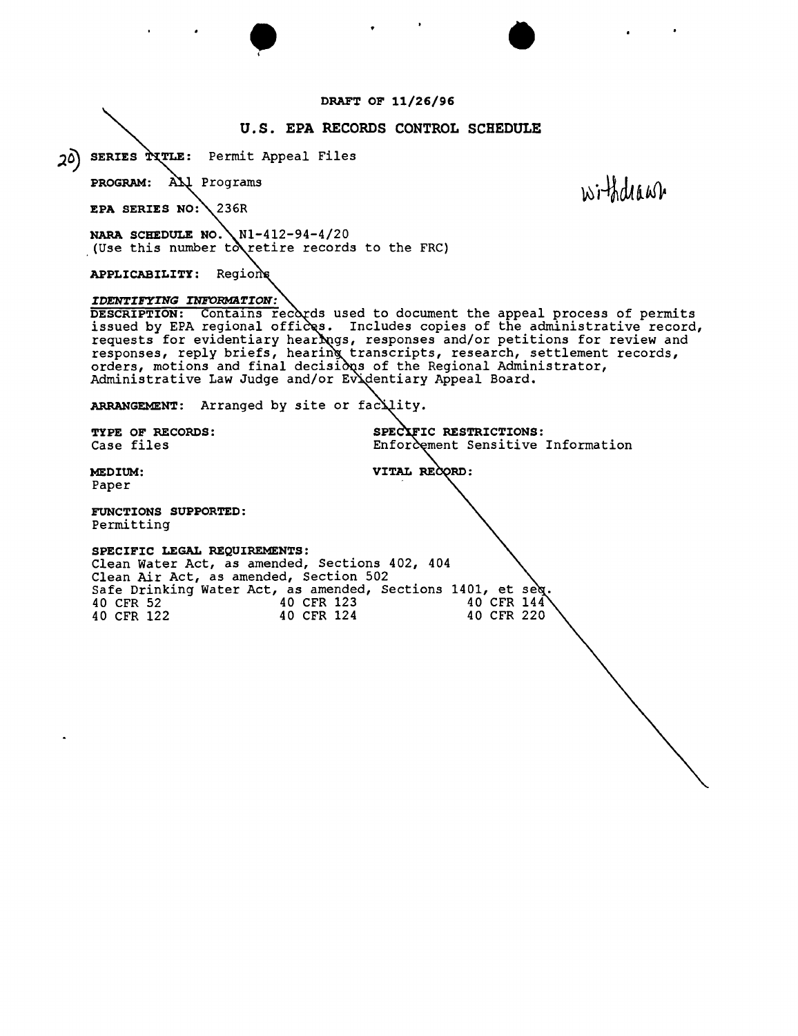### **DRAFT OF 11/26/96**

# **u.s. EPA RECORDS CONTROL SCHEDULE**

SERIES TITLE: Permit Appeal Files  $20)$ 

> **PROGRAM:** AN Programs

**EPA SERIES** 236R

**NARA SCHEDULE NO.** Nl-412-94-4/20 (Use this number to retire records to the FRC)

• I

**APPLICABILITY:**

### *IDENTIFYING INFORMATION:*

**DESCRIPTION:** Contains records used to document the appeal process of permits issued by EPA regional offices. Includes copies of the administrative record, requests for evidentiary hearings, responses and/or petitions for review and responses, reply briefs, hearing transcripts, research, settlement records, orders, motions and final decisi $\delta$ qs of the Regional Administrator, Administrative Law Judge and/or Ev'dentiary Appeal Board.

VITAL RECORD:

**ARRANGEMENT:** Arranged by site or

**TYPE OF RECORDS:**<br>
Case files<br> **ICACCE Enforcement** Sensitive Enforcement Sensitive Information

•

withdraw

**MEDIUM:** Paper

**FUNCTIONS SUPPORTED:** Permitting

### **SPECIFIC LEGAL REQUIREMENTS:**

Clean Water Act, as amended, Sections 402, 404 Clean Air Act, as amended, section 502 Safe Drinking Water Act, as amended, Sections 1401, et 40 CFR 52 40 CFR 123 40 CFR 14<sup>T</sup><br>40 CFR 122 40 CFR 124 40 CFR 220 40 CFR 122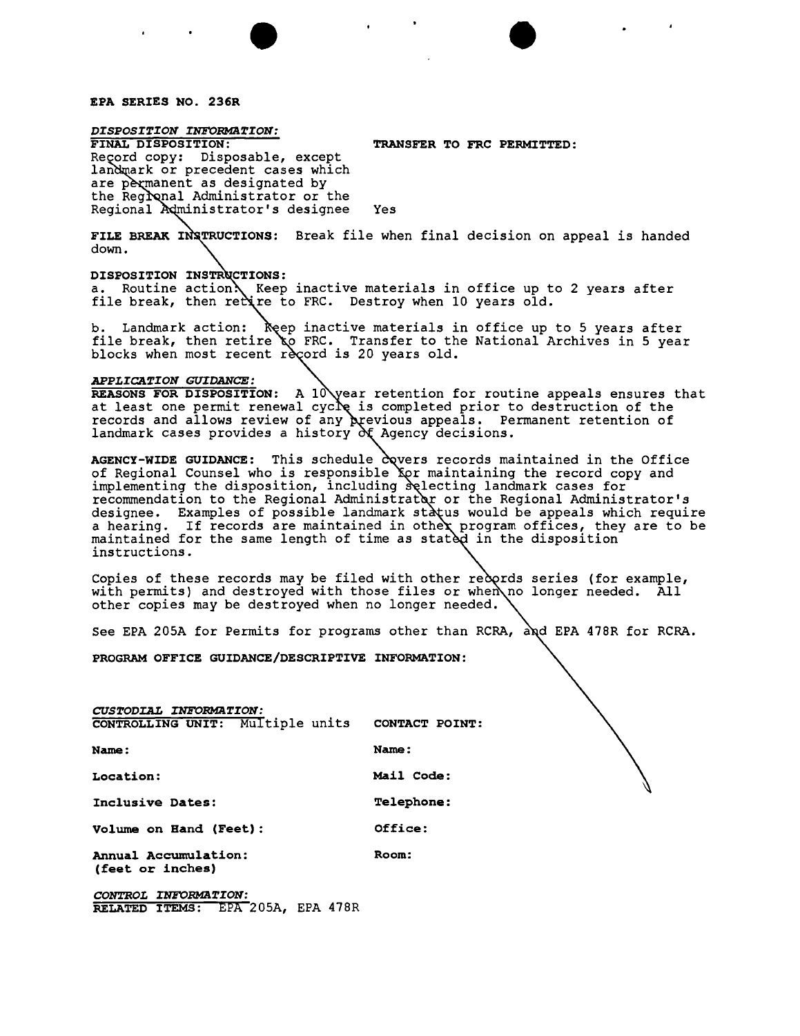### EPA SERIES NO. 236R

*DISPOSITION INFORMATION:*

TRANSFER TO FRC PERMITTED:

Reçord copy: Disposable, except landmark or precedent cases which are permanent as designated by the Regional Administrator or the Regional Administrator's designee Yes

FILE BREAK INSTRUCTIONS: Break file when final decision on appeal is handed down.

 $\bullet$ 

DISPOSITION INSTRUCTIONS:

a. Routine action. Keep inactive materials in office up to 2 years after file break, then rectire to FRC. Destroy when 10 years old.

b. Landmark action: Reep inactive materials in office up to 5 years after file break, then retire  $\chi$ o FRC. Transfer to the National Archives in 5 year blocks when most recent record is 20 years old.

#### *APPLICATION GUIDANCE:*

REASONS FOR DISPOSITION: A 10 year retention for routine appeals ensures that at least one permit renewal cyc *is* completed prior to destruction of the records and allows review of any  $\bm{\lambda}$  pevious appeals. Permanent retention of landmark cases provides a history  $\partial \xi$  Agency decisions.

AGENCY-WIDE GUIDANCE: This schedule covers records maintained in the Office of Regional Counsel who is responsible for maintaining the record copy and implementing the disposition, including selecting landmark cases for recommendation to the Regional Administrator or the Regional Administrator's designee. Examples of possible landmark status would be appeals which require a hearing. If records are maintained in othex program offices, they are to be maintained for the same length of time as statèd in the disposition instructions.

Copies of these records may be filed with other records series (for example, with permits) and destroyed with those files or when no longer needed. All other copies may be destroyed when no longer needed.

See EPA 205A for Permits for programs other than RCRA, and EPA 478R for RCRA.

PROGRAM OFFICE GUIDANCE/DESCRIPTIVE INFORMATION:

*CUSTODIAL INFORMATION:* CONTROLLING UNIT: Multiple units CONTACT POINT: Name: Name: Location: Mail Code: Inclusive Dates: Telephone: Volume on Hand (Feet): Office: Room:

Annual Accumulation: (feet or inches)

CONTROL *INFORMATION:* RELATED ITEMS: EPA 20SA, EPA 478R